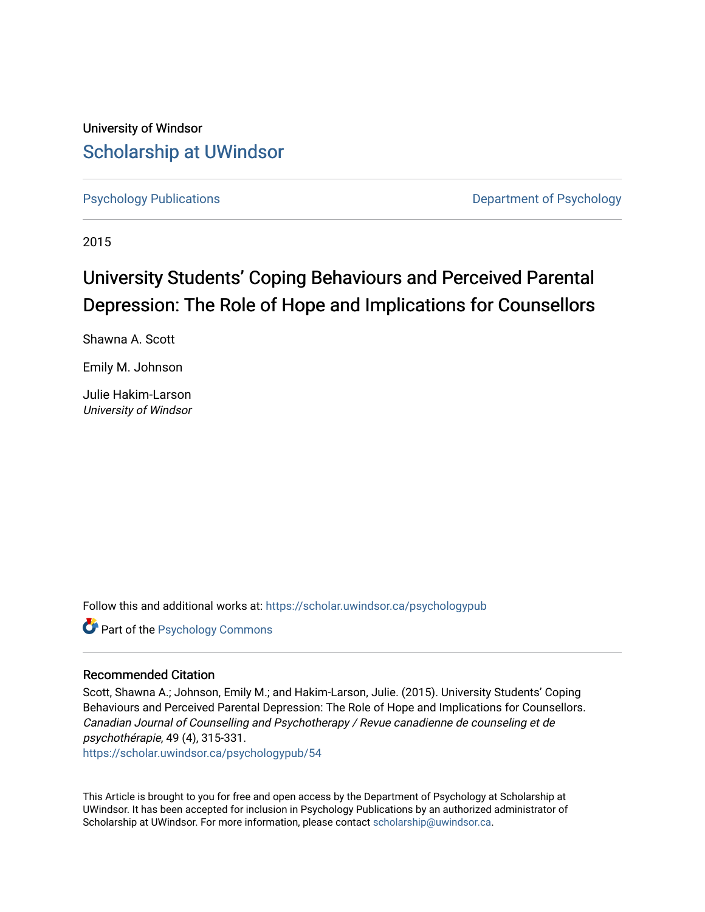University of Windsor [Scholarship at UWindsor](https://scholar.uwindsor.ca/) 

[Psychology Publications](https://scholar.uwindsor.ca/psychologypub) [Department of Psychology](https://scholar.uwindsor.ca/psychology) 

2015

# University Students' Coping Behaviours and Perceived Parental Depression: The Role of Hope and Implications for Counsellors

Shawna A. Scott

Emily M. Johnson

Julie Hakim-Larson University of Windsor

Follow this and additional works at: [https://scholar.uwindsor.ca/psychologypub](https://scholar.uwindsor.ca/psychologypub?utm_source=scholar.uwindsor.ca%2Fpsychologypub%2F54&utm_medium=PDF&utm_campaign=PDFCoverPages) 

**Part of the Psychology Commons** 

# Recommended Citation

Scott, Shawna A.; Johnson, Emily M.; and Hakim-Larson, Julie. (2015). University Students' Coping Behaviours and Perceived Parental Depression: The Role of Hope and Implications for Counsellors. Canadian Journal of Counselling and Psychotherapy / Revue canadienne de counseling et de psychothérapie, 49 (4), 315-331.

[https://scholar.uwindsor.ca/psychologypub/54](https://scholar.uwindsor.ca/psychologypub/54?utm_source=scholar.uwindsor.ca%2Fpsychologypub%2F54&utm_medium=PDF&utm_campaign=PDFCoverPages)

This Article is brought to you for free and open access by the Department of Psychology at Scholarship at UWindsor. It has been accepted for inclusion in Psychology Publications by an authorized administrator of Scholarship at UWindsor. For more information, please contact [scholarship@uwindsor.ca.](mailto:scholarship@uwindsor.ca)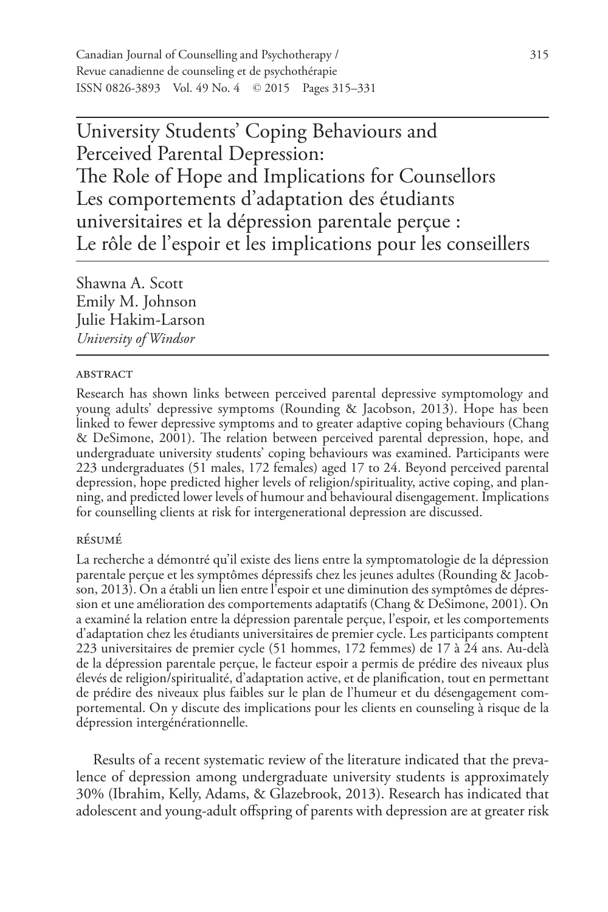Canadian Journal of Counselling and Psychotherapy / 315 Revue canadienne de counseling et de psychothérapie ISSN 0826-3893 Vol. 49 No. 4 © 2015 Pages 315–331

University Students' Coping Behaviours and Perceived Parental Depression: The Role of Hope and Implications for Counsellors Les comportements d'adaptation des étudiants universitaires et la dépression parentale perçue : Le rôle de l'espoir et les implications pour les conseillers

Shawna A. Scott Emily M. Johnson Julie Hakim-Larson *University of Windsor*

#### **ABSTRACT**

Research has shown links between perceived parental depressive symptomology and young adults' depressive symptoms (Rounding & Jacobson, 2013). Hope has been linked to fewer depressive symptoms and to greater adaptive coping behaviours (Chang & DeSimone, 2001). The relation between perceived parental depression, hope, and undergraduate university students' coping behaviours was examined. Participants were 223 undergraduates (51 males, 172 females) aged 17 to 24. Beyond perceived parental depression, hope predicted higher levels of religion/spirituality, active coping, and planning, and predicted lower levels of humour and behavioural disengagement. Implications for counselling clients at risk for intergenerational depression are discussed.

## résumé

La recherche a démontré qu'il existe des liens entre la symptomatologie de la dépression parentale perçue et les symptômes dépressifs chez les jeunes adultes (Rounding & Jacobson, 2013). On a établi un lien entre l'espoir et une diminution des symptômes de dépression et une amélioration des comportements adaptatifs (Chang & DeSimone, 2001). On a examiné la relation entre la dépression parentale perçue, l'espoir, et les comportements d'adaptation chez les étudiants universitaires de premier cycle. Les participants comptent 223 universitaires de premier cycle (51 hommes, 172 femmes) de 17 à 24 ans. Au-delà de la dépression parentale perçue, le facteur espoir a permis de prédire des niveaux plus élevés de religion/spiritualité, d'adaptation active, et de planification, tout en permettant de prédire des niveaux plus faibles sur le plan de l'humeur et du désengagement comportemental. On y discute des implications pour les clients en counseling à risque de la dépression intergénérationnelle.

Results of a recent systematic review of the literature indicated that the prevalence of depression among undergraduate university students is approximately 30% (Ibrahim, Kelly, Adams, & Glazebrook, 2013). Research has indicated that adolescent and young-adult offspring of parents with depression are at greater risk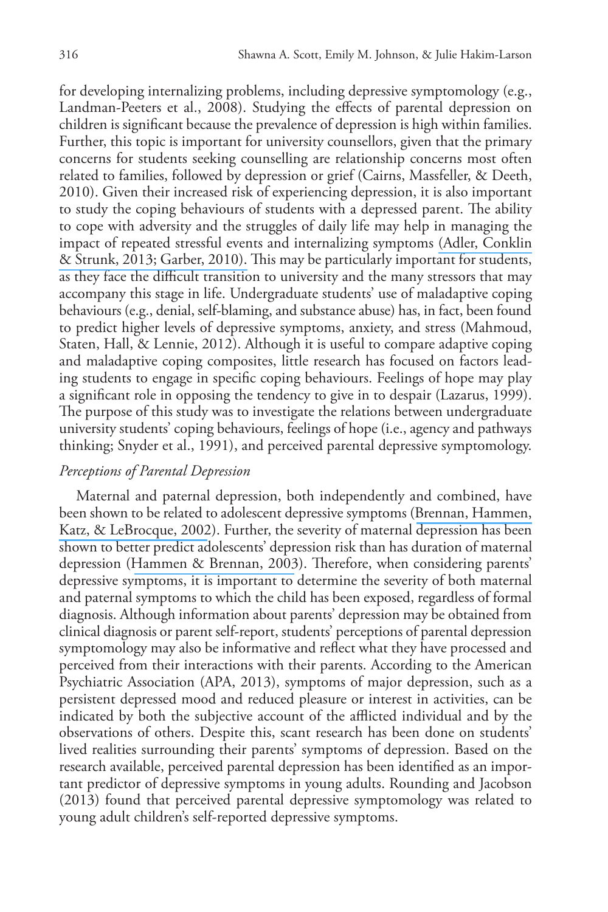for developing internalizing problems, including depressive symptomology (e.g., Landman-Peeters et al., 2008). Studying the effects of parental depression on children is significant because the prevalence of depression is high within families. Further, this topic is important for university counsellors, given that the primary concerns for students seeking counselling are relationship concerns most often related to families, followed by depression or grief (Cairns, Massfeller, & Deeth, 2010). Given their increased risk of experiencing depression, it is also important to study the coping behaviours of students with a depressed parent. The ability to cope with adversity and the struggles of daily life may help in managing the impact of repeated stressful events and internalizing symptoms [\(Adler, Conklin](https://www.researchgate.net/publication/313209815_Vulnerability_to_depression_in_childhood_and_adolescence?el=1_x_8&enrichId=rgreq-f4edac8d60d27f2c2bb3bf0c64bfd7fe-XXX&enrichSource=Y292ZXJQYWdlOzI4Mzg3MzI1NDtBUzoyOTYyNTg2ODcyNTg2MjRAMTQ0NzY0NDk4MzgzMw==) [& Strunk, 2013; Garber, 2010\).](https://www.researchgate.net/publication/313209815_Vulnerability_to_depression_in_childhood_and_adolescence?el=1_x_8&enrichId=rgreq-f4edac8d60d27f2c2bb3bf0c64bfd7fe-XXX&enrichSource=Y292ZXJQYWdlOzI4Mzg3MzI1NDtBUzoyOTYyNTg2ODcyNTg2MjRAMTQ0NzY0NDk4MzgzMw==) This may be particularly important for students, as they face the difficult transition to university and the many stressors that may accompany this stage in life. Undergraduate students' use of maladaptive coping behaviours (e.g., denial, self-blaming, and substance abuse) has, in fact, been found to predict higher levels of depressive symptoms, anxiety, and stress (Mahmoud, Staten, Hall, & Lennie, 2012). Although it is useful to compare adaptive coping and maladaptive coping composites, little research has focused on factors leading students to engage in specific coping behaviours. Feelings of hope may play a significant role in opposing the tendency to give in to despair (Lazarus, 1999). The purpose of this study was to investigate the relations between undergraduate university students' coping behaviours, feelings of hope (i.e., agency and pathways thinking; Snyder et al., 1991), and perceived parental depressive symptomology.

# *Perceptions of Parental Depression*

Maternal and paternal depression, both independently and combined, have been shown to be related to adolescent depressive symptoms ([Brennan, Hammen,](https://www.researchgate.net/publication/11094885_Maternal_depression_paternal_psychopathology_and_adolescent_diagnostic_outcomes?el=1_x_8&enrichId=rgreq-f4edac8d60d27f2c2bb3bf0c64bfd7fe-XXX&enrichSource=Y292ZXJQYWdlOzI4Mzg3MzI1NDtBUzoyOTYyNTg2ODcyNTg2MjRAMTQ0NzY0NDk4MzgzMw==)  [Katz, & LeBrocque, 2002](https://www.researchgate.net/publication/11094885_Maternal_depression_paternal_psychopathology_and_adolescent_diagnostic_outcomes?el=1_x_8&enrichId=rgreq-f4edac8d60d27f2c2bb3bf0c64bfd7fe-XXX&enrichSource=Y292ZXJQYWdlOzI4Mzg3MzI1NDtBUzoyOTYyNTg2ODcyNTg2MjRAMTQ0NzY0NDk4MzgzMw==)). Further, the severity of maternal depression has been shown to better predict adolescents' depression risk than has duration of maternal depression ([Hammen & Brennan, 2003](https://www.researchgate.net/publication/10868049_Severity_Chronicity_and_Timing_of_Maternal_Depression_and_Risk_for_Adolescent_Offspring_Diagnoses_in_a_Community_Sample?el=1_x_8&enrichId=rgreq-f4edac8d60d27f2c2bb3bf0c64bfd7fe-XXX&enrichSource=Y292ZXJQYWdlOzI4Mzg3MzI1NDtBUzoyOTYyNTg2ODcyNTg2MjRAMTQ0NzY0NDk4MzgzMw==)). Therefore, when considering parents' depressive symptoms, it is important to determine the severity of both maternal and paternal symptoms to which the child has been exposed, regardless of formal diagnosis. Although information about parents' depression may be obtained from clinical diagnosis or parent self-report, students' perceptions of parental depression symptomology may also be informative and reflect what they have processed and perceived from their interactions with their parents. According to the American Psychiatric Association (APA, 2013), symptoms of major depression, such as a persistent depressed mood and reduced pleasure or interest in activities, can be indicated by both the subjective account of the afflicted individual and by the observations of others. Despite this, scant research has been done on students' lived realities surrounding their parents' symptoms of depression. Based on the research available, perceived parental depression has been identified as an important predictor of depressive symptoms in young adults. Rounding and Jacobson (2013) found that perceived parental depressive symptomology was related to young adult children's self-reported depressive symptoms.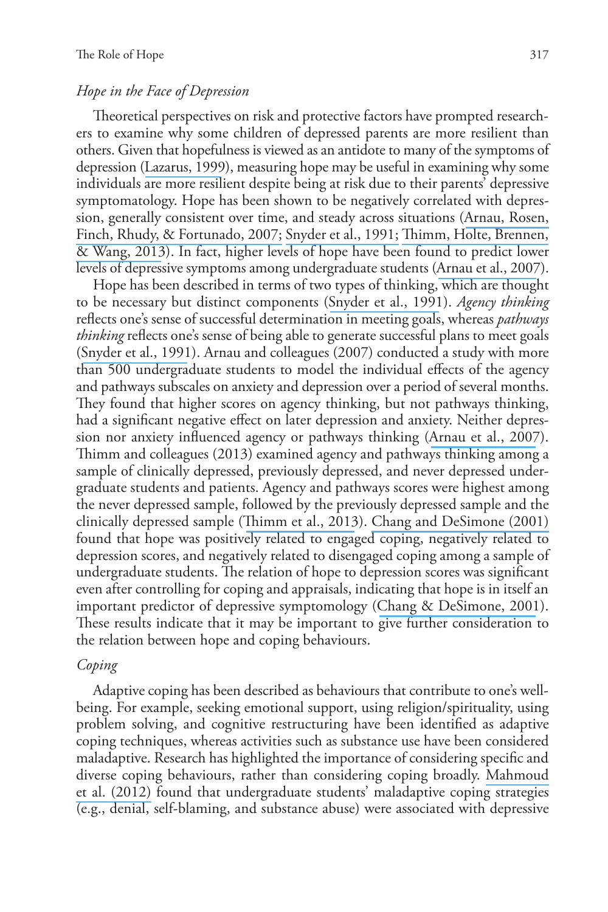## *Hope in the Face of Depression*

Theoretical perspectives on risk and protective factors have prompted researchers to examine why some children of depressed parents are more resilient than others. Given that hopefulness is viewed as an antidote to many of the symptoms of depression ([Lazarus, 1999](https://www.researchgate.net/publication/281181376_Hope_An_emotion_and_a_vital_coping_resource_against_despair?el=1_x_8&enrichId=rgreq-f4edac8d60d27f2c2bb3bf0c64bfd7fe-XXX&enrichSource=Y292ZXJQYWdlOzI4Mzg3MzI1NDtBUzoyOTYyNTg2ODcyNTg2MjRAMTQ0NzY0NDk4MzgzMw==)), measuring hope may be useful in examining why some individuals are more resilient despite being at risk due to their parents' depressive symptomatology. Hope has been shown to be negatively correlated with depression, generally consistent over time, and steady across situations ([Arnau, Rosen,](https://www.researchgate.net/publication/6586082_Longitudinal_Effects_of_Hope_on_Depression_and_Anxiety_A_Latent_Variable_Analysis?el=1_x_8&enrichId=rgreq-f4edac8d60d27f2c2bb3bf0c64bfd7fe-XXX&enrichSource=Y292ZXJQYWdlOzI4Mzg3MzI1NDtBUzoyOTYyNTg2ODcyNTg2MjRAMTQ0NzY0NDk4MzgzMw==) [Finch, Rhudy, & Fortunado, 2007;](https://www.researchgate.net/publication/6586082_Longitudinal_Effects_of_Hope_on_Depression_and_Anxiety_A_Latent_Variable_Analysis?el=1_x_8&enrichId=rgreq-f4edac8d60d27f2c2bb3bf0c64bfd7fe-XXX&enrichSource=Y292ZXJQYWdlOzI4Mzg3MzI1NDtBUzoyOTYyNTg2ODcyNTg2MjRAMTQ0NzY0NDk4MzgzMw==) [Snyder et al., 1991;](https://www.researchgate.net/publication/283375700_The_will_and_the_ways_Development_and_validation_of_an_individual-differences_measure_of_hope?el=1_x_8&enrichId=rgreq-f4edac8d60d27f2c2bb3bf0c64bfd7fe-XXX&enrichSource=Y292ZXJQYWdlOzI4Mzg3MzI1NDtBUzoyOTYyNTg2ODcyNTg2MjRAMTQ0NzY0NDk4MzgzMw==) [Thimm, Holte, Brennen,](https://www.researchgate.net/publication/253340085_Hope_and_Expectancies_for_Future_Events_in_Depression?el=1_x_8&enrichId=rgreq-f4edac8d60d27f2c2bb3bf0c64bfd7fe-XXX&enrichSource=Y292ZXJQYWdlOzI4Mzg3MzI1NDtBUzoyOTYyNTg2ODcyNTg2MjRAMTQ0NzY0NDk4MzgzMw==)  [& Wang, 2013](https://www.researchgate.net/publication/253340085_Hope_and_Expectancies_for_Future_Events_in_Depression?el=1_x_8&enrichId=rgreq-f4edac8d60d27f2c2bb3bf0c64bfd7fe-XXX&enrichSource=Y292ZXJQYWdlOzI4Mzg3MzI1NDtBUzoyOTYyNTg2ODcyNTg2MjRAMTQ0NzY0NDk4MzgzMw==)). In fact, higher levels of hope have been found to predict lower levels of depressive symptoms among undergraduate students ([Arnau et al., 2007](https://www.researchgate.net/publication/6586082_Longitudinal_Effects_of_Hope_on_Depression_and_Anxiety_A_Latent_Variable_Analysis?el=1_x_8&enrichId=rgreq-f4edac8d60d27f2c2bb3bf0c64bfd7fe-XXX&enrichSource=Y292ZXJQYWdlOzI4Mzg3MzI1NDtBUzoyOTYyNTg2ODcyNTg2MjRAMTQ0NzY0NDk4MzgzMw==)).

Hope has been described in terms of two types of thinking, which are thought to be necessary but distinct components ([Snyder et al., 1991](https://www.researchgate.net/publication/283375700_The_will_and_the_ways_Development_and_validation_of_an_individual-differences_measure_of_hope?el=1_x_8&enrichId=rgreq-f4edac8d60d27f2c2bb3bf0c64bfd7fe-XXX&enrichSource=Y292ZXJQYWdlOzI4Mzg3MzI1NDtBUzoyOTYyNTg2ODcyNTg2MjRAMTQ0NzY0NDk4MzgzMw==)). *Agency thinking* reflects one's sense of successful determination in meeting goals, whereas *pathways thinking* reflects one's sense of being able to generate successful plans to meet goals ([Snyder et al., 1991](https://www.researchgate.net/publication/283375700_The_will_and_the_ways_Development_and_validation_of_an_individual-differences_measure_of_hope?el=1_x_8&enrichId=rgreq-f4edac8d60d27f2c2bb3bf0c64bfd7fe-XXX&enrichSource=Y292ZXJQYWdlOzI4Mzg3MzI1NDtBUzoyOTYyNTg2ODcyNTg2MjRAMTQ0NzY0NDk4MzgzMw==)). Arnau and colleagues (2007) conducted a study with more than 500 undergraduate students to model the individual effects of the agency and pathways subscales on anxiety and depression over a period of several months. They found that higher scores on agency thinking, but not pathways thinking, had a significant negative effect on later depression and anxiety. Neither depression nor anxiety influenced agency or pathways thinking ([Arnau et al., 2007](https://www.researchgate.net/publication/6586082_Longitudinal_Effects_of_Hope_on_Depression_and_Anxiety_A_Latent_Variable_Analysis?el=1_x_8&enrichId=rgreq-f4edac8d60d27f2c2bb3bf0c64bfd7fe-XXX&enrichSource=Y292ZXJQYWdlOzI4Mzg3MzI1NDtBUzoyOTYyNTg2ODcyNTg2MjRAMTQ0NzY0NDk4MzgzMw==)). Thimm and colleagues (2013) examined agency and pathways thinking among a sample of clinically depressed, previously depressed, and never depressed undergraduate students and patients. Agency and pathways scores were highest among the never depressed sample, followed by the previously depressed sample and the clinically depressed sample ([Thimm et al., 2013](https://www.researchgate.net/publication/253340085_Hope_and_Expectancies_for_Future_Events_in_Depression?el=1_x_8&enrichId=rgreq-f4edac8d60d27f2c2bb3bf0c64bfd7fe-XXX&enrichSource=Y292ZXJQYWdlOzI4Mzg3MzI1NDtBUzoyOTYyNTg2ODcyNTg2MjRAMTQ0NzY0NDk4MzgzMw==)). [Chang and DeSimone \(2001\)](https://www.researchgate.net/publication/247839496_The_Influence_of_Hope_on_Appraisals_Coping_and_Dysphoria_A_Test_of_Hope_Theory?el=1_x_8&enrichId=rgreq-f4edac8d60d27f2c2bb3bf0c64bfd7fe-XXX&enrichSource=Y292ZXJQYWdlOzI4Mzg3MzI1NDtBUzoyOTYyNTg2ODcyNTg2MjRAMTQ0NzY0NDk4MzgzMw==) found that hope was positively related to engaged coping, negatively related to depression scores, and negatively related to disengaged coping among a sample of undergraduate students. The relation of hope to depression scores was significant even after controlling for coping and appraisals, indicating that hope is in itself an important predictor of depressive symptomology ([Chang & DeSimone, 2001](https://www.researchgate.net/publication/247839496_The_Influence_of_Hope_on_Appraisals_Coping_and_Dysphoria_A_Test_of_Hope_Theory?el=1_x_8&enrichId=rgreq-f4edac8d60d27f2c2bb3bf0c64bfd7fe-XXX&enrichSource=Y292ZXJQYWdlOzI4Mzg3MzI1NDtBUzoyOTYyNTg2ODcyNTg2MjRAMTQ0NzY0NDk4MzgzMw==)). These results indicate that it may be important to give further consideration to the relation between hope and coping behaviours.

# *Coping*

Adaptive coping has been described as behaviours that contribute to one's wellbeing. For example, seeking emotional support, using religion/spirituality, using problem solving, and cognitive restructuring have been identified as adaptive coping techniques, whereas activities such as substance use have been considered maladaptive. Research has highlighted the importance of considering specific and diverse coping behaviours, rather than considering coping broadly. [Mahmoud](https://www.researchgate.net/publication/221860649_The_Relationship_among_Young_Adult_College_Students)  [et al. \(2012\)](https://www.researchgate.net/publication/221860649_The_Relationship_among_Young_Adult_College_Students) found that undergraduate students' maladaptive coping strategies (e.g., denial, self-blaming, and substance abuse) were associated with depressive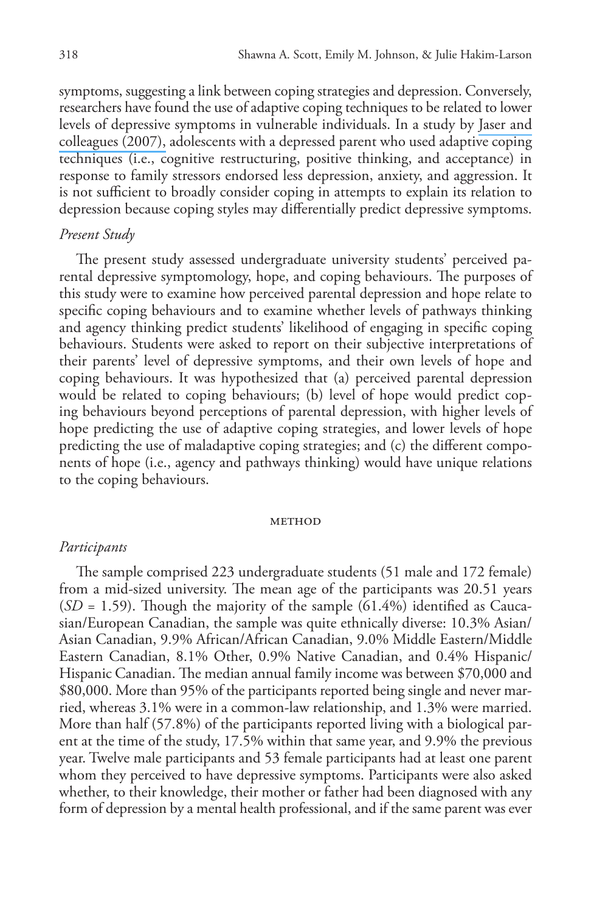symptoms, suggesting a link between coping strategies and depression. Conversely, researchers have found the use of adaptive coping techniques to be related to lower levels of depressive symptoms in vulnerable individuals. In a study by [Jaser and](https://www.researchgate.net/publication/6560763_Cross-situational_coping_with_peer_and_family_stressors_in_adolescent_offspring_of_depressed_parents?el=1_x_8&enrichId=rgreq-f4edac8d60d27f2c2bb3bf0c64bfd7fe-XXX&enrichSource=Y292ZXJQYWdlOzI4Mzg3MzI1NDtBUzoyOTYyNTg2ODcyNTg2MjRAMTQ0NzY0NDk4MzgzMw==) [colleagues \(2007\),](https://www.researchgate.net/publication/6560763_Cross-situational_coping_with_peer_and_family_stressors_in_adolescent_offspring_of_depressed_parents?el=1_x_8&enrichId=rgreq-f4edac8d60d27f2c2bb3bf0c64bfd7fe-XXX&enrichSource=Y292ZXJQYWdlOzI4Mzg3MzI1NDtBUzoyOTYyNTg2ODcyNTg2MjRAMTQ0NzY0NDk4MzgzMw==) adolescents with a depressed parent who used adaptive coping techniques (i.e., cognitive restructuring, positive thinking, and acceptance) in response to family stressors endorsed less depression, anxiety, and aggression. It is not sufficient to broadly consider coping in attempts to explain its relation to depression because coping styles may differentially predict depressive symptoms.

## *Present Study*

The present study assessed undergraduate university students' perceived parental depressive symptomology, hope, and coping behaviours. The purposes of this study were to examine how perceived parental depression and hope relate to specific coping behaviours and to examine whether levels of pathways thinking and agency thinking predict students' likelihood of engaging in specific coping behaviours. Students were asked to report on their subjective interpretations of their parents' level of depressive symptoms, and their own levels of hope and coping behaviours. It was hypothesized that (a) perceived parental depression would be related to coping behaviours; (b) level of hope would predict coping behaviours beyond perceptions of parental depression, with higher levels of hope predicting the use of adaptive coping strategies, and lower levels of hope predicting the use of maladaptive coping strategies; and (c) the different components of hope (i.e., agency and pathways thinking) would have unique relations to the coping behaviours.

#### **METHOD**

#### *Participants*

The sample comprised 223 undergraduate students (51 male and 172 female) from a mid-sized university. The mean age of the participants was 20.51 years  $(SD = 1.59)$ . Though the majority of the sample  $(61.4\%)$  identified as Caucasian/European Canadian, the sample was quite ethnically diverse: 10.3% Asian/ Asian Canadian, 9.9% African/African Canadian, 9.0% Middle Eastern/Middle Eastern Canadian, 8.1% Other, 0.9% Native Canadian, and 0.4% Hispanic/ Hispanic Canadian. The median annual family income was between \$70,000 and \$80,000. More than 95% of the participants reported being single and never married, whereas 3.1% were in a common-law relationship, and 1.3% were married. More than half (57.8%) of the participants reported living with a biological parent at the time of the study, 17.5% within that same year, and 9.9% the previous year. Twelve male participants and 53 female participants had at least one parent whom they perceived to have depressive symptoms. Participants were also asked whether, to their knowledge, their mother or father had been diagnosed with any form of depression by a mental health professional, and if the same parent was ever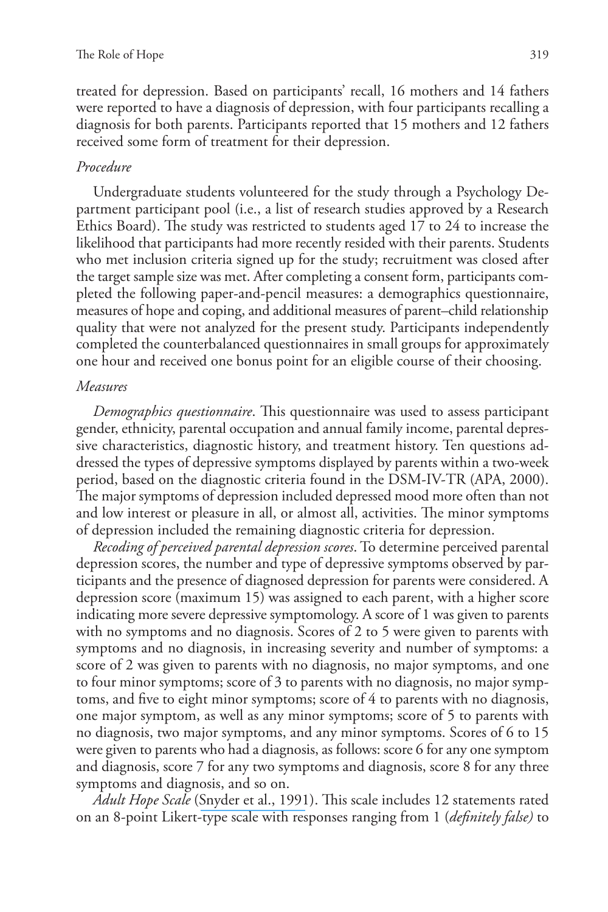treated for depression. Based on participants' recall, 16 mothers and 14 fathers were reported to have a diagnosis of depression, with four participants recalling a diagnosis for both parents. Participants reported that 15 mothers and 12 fathers received some form of treatment for their depression.

## *Procedure*

Undergraduate students volunteered for the study through a Psychology Department participant pool (i.e., a list of research studies approved by a Research Ethics Board). The study was restricted to students aged 17 to 24 to increase the likelihood that participants had more recently resided with their parents. Students who met inclusion criteria signed up for the study; recruitment was closed after the target sample size was met. After completing a consent form, participants completed the following paper-and-pencil measures: a demographics questionnaire, measures of hope and coping, and additional measures of parent–child relationship quality that were not analyzed for the present study. Participants independently completed the counterbalanced questionnaires in small groups for approximately one hour and received one bonus point for an eligible course of their choosing.

## *Measures*

*Demographics questionnaire*. This questionnaire was used to assess participant gender, ethnicity, parental occupation and annual family income, parental depressive characteristics, diagnostic history, and treatment history. Ten questions addressed the types of depressive symptoms displayed by parents within a two-week period, based on the diagnostic criteria found in the DSM-IV-TR (APA, 2000). The major symptoms of depression included depressed mood more often than not and low interest or pleasure in all, or almost all, activities. The minor symptoms of depression included the remaining diagnostic criteria for depression.

*Recoding of perceived parental depression scores*. To determine perceived parental depression scores, the number and type of depressive symptoms observed by participants and the presence of diagnosed depression for parents were considered. A depression score (maximum 15) was assigned to each parent, with a higher score indicating more severe depressive symptomology. A score of 1 was given to parents with no symptoms and no diagnosis. Scores of 2 to 5 were given to parents with symptoms and no diagnosis, in increasing severity and number of symptoms: a score of 2 was given to parents with no diagnosis, no major symptoms, and one to four minor symptoms; score of 3 to parents with no diagnosis, no major symptoms, and five to eight minor symptoms; score of 4 to parents with no diagnosis, one major symptom, as well as any minor symptoms; score of 5 to parents with no diagnosis, two major symptoms, and any minor symptoms. Scores of 6 to 15 were given to parents who had a diagnosis, as follows: score 6 for any one symptom and diagnosis, score 7 for any two symptoms and diagnosis, score 8 for any three symptoms and diagnosis, and so on.

*Adult Hope Scale* ([Snyder et al., 1991](https://www.researchgate.net/publication/283375700_The_will_and_the_ways_Development_and_validation_of_an_individual-differences_measure_of_hope?el=1_x_8&enrichId=rgreq-f4edac8d60d27f2c2bb3bf0c64bfd7fe-XXX&enrichSource=Y292ZXJQYWdlOzI4Mzg3MzI1NDtBUzoyOTYyNTg2ODcyNTg2MjRAMTQ0NzY0NDk4MzgzMw==)). This scale includes 12 statements rated on an 8-point Likert-type scale with responses ranging from 1 (*definitely false)* to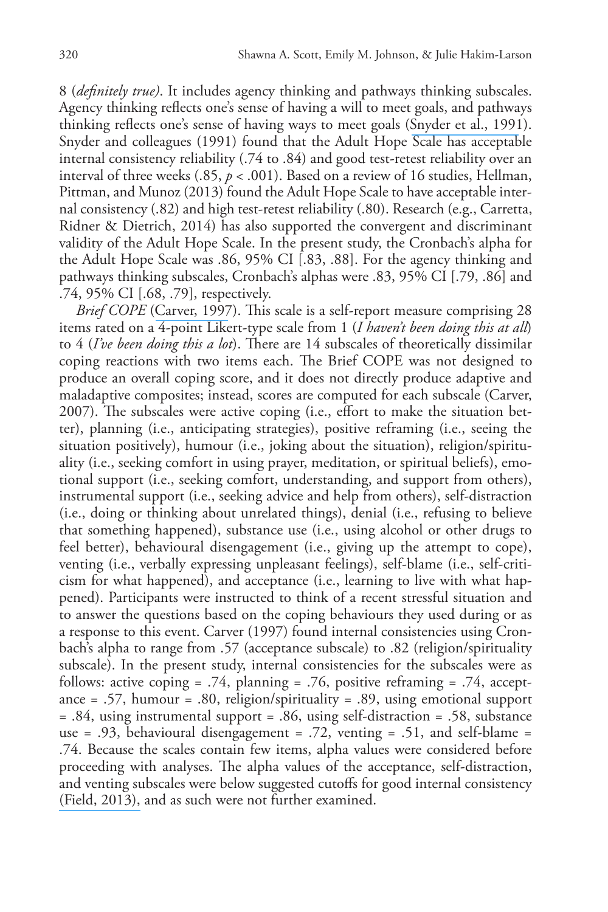8 (*definitely true)*. It includes agency thinking and pathways thinking subscales. Agency thinking reflects one's sense of having a will to meet goals, and pathways thinking reflects one's sense of having ways to meet goals ([Snyder et al., 1991](https://www.researchgate.net/publication/283375700_The_will_and_the_ways_Development_and_validation_of_an_individual-differences_measure_of_hope?el=1_x_8&enrichId=rgreq-f4edac8d60d27f2c2bb3bf0c64bfd7fe-XXX&enrichSource=Y292ZXJQYWdlOzI4Mzg3MzI1NDtBUzoyOTYyNTg2ODcyNTg2MjRAMTQ0NzY0NDk4MzgzMw==)). Snyder and colleagues (1991) found that the Adult Hope Scale has acceptable internal consistency reliability (.74 to .84) and good test-retest reliability over an interval of three weeks (.85, *p* < .001). Based on a review of 16 studies, Hellman, Pittman, and Munoz (2013) found the Adult Hope Scale to have acceptable internal consistency (.82) and high test-retest reliability (.80). Research (e.g., Carretta, Ridner & Dietrich, 2014) has also supported the convergent and discriminant validity of the Adult Hope Scale. In the present study, the Cronbach's alpha for the Adult Hope Scale was .86, 95% CI [.83, .88]. For the agency thinking and pathways thinking subscales, Cronbach's alphas were .83, 95% CI [.79, .86] and .74, 95% CI [.68, .79], respectively.

*Brief COPE* ([Carver, 1997](https://www.researchgate.net/publication/7515511_You_want_to_Measure_Coping_But_Your_Protocols_Too_Long_Consider_the_Brief_COPE?el=1_x_8&enrichId=rgreq-f4edac8d60d27f2c2bb3bf0c64bfd7fe-XXX&enrichSource=Y292ZXJQYWdlOzI4Mzg3MzI1NDtBUzoyOTYyNTg2ODcyNTg2MjRAMTQ0NzY0NDk4MzgzMw==)). This scale is a self-report measure comprising 28 items rated on a 4-point Likert-type scale from 1 (*I haven't been doing this at all*) to 4 (*I've been doing this a lot*). There are 14 subscales of theoretically dissimilar coping reactions with two items each. The Brief COPE was not designed to produce an overall coping score, and it does not directly produce adaptive and maladaptive composites; instead, scores are computed for each subscale (Carver, 2007). The subscales were active coping (i.e., effort to make the situation better), planning (i.e., anticipating strategies), positive reframing (i.e., seeing the situation positively), humour (i.e., joking about the situation), religion/spirituality (i.e., seeking comfort in using prayer, meditation, or spiritual beliefs), emotional support (i.e., seeking comfort, understanding, and support from others), instrumental support (i.e., seeking advice and help from others), self-distraction (i.e., doing or thinking about unrelated things), denial (i.e., refusing to believe that something happened), substance use (i.e., using alcohol or other drugs to feel better), behavioural disengagement (i.e., giving up the attempt to cope), venting (i.e., verbally expressing unpleasant feelings), self-blame (i.e., self-criticism for what happened), and acceptance (i.e., learning to live with what happened). Participants were instructed to think of a recent stressful situation and to answer the questions based on the coping behaviours they used during or as a response to this event. Carver (1997) found internal consistencies using Cronbach's alpha to range from .57 (acceptance subscale) to .82 (religion/spirituality subscale). In the present study, internal consistencies for the subscales were as follows: active coping = .74, planning = .76, positive reframing = .74, acceptance = .57, humour = .80, religion/spirituality = .89, using emotional support = .84, using instrumental support = .86, using self-distraction = .58, substance use = .93, behavioural disengagement = .72, venting = .51, and self-blame = .74. Because the scales contain few items, alpha values were considered before proceeding with analyses. The alpha values of the acceptance, self-distraction, and venting subscales were below suggested cutoffs for good internal consistency [\(Field, 2013\),](https://www.researchgate.net/publication/39406694_Discovering_statistics_using_IBM_SPSS_statistics?el=1_x_8&enrichId=rgreq-f4edac8d60d27f2c2bb3bf0c64bfd7fe-XXX&enrichSource=Y292ZXJQYWdlOzI4Mzg3MzI1NDtBUzoyOTYyNTg2ODcyNTg2MjRAMTQ0NzY0NDk4MzgzMw==) and as such were not further examined.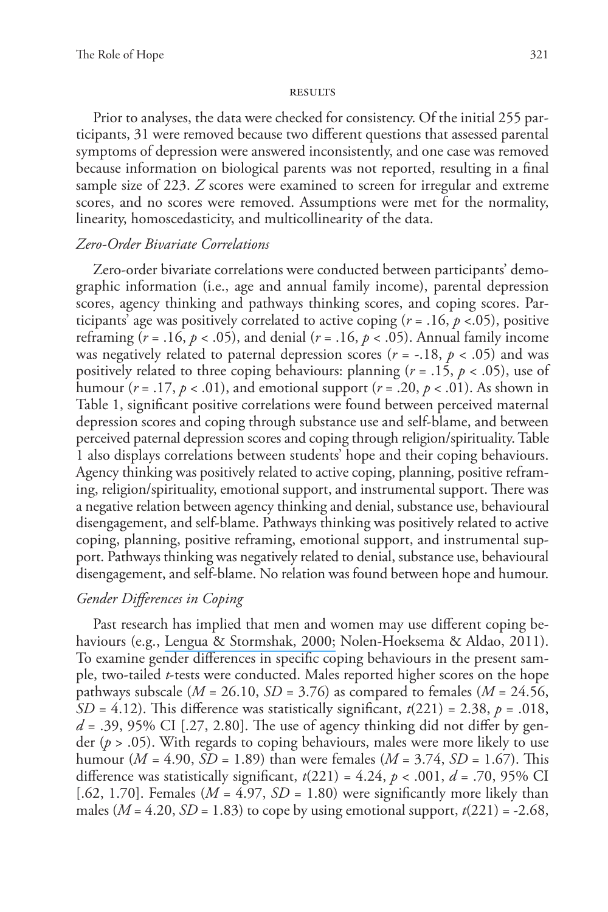#### **RESULTS**

Prior to analyses, the data were checked for consistency. Of the initial 255 participants, 31 were removed because two different questions that assessed parental symptoms of depression were answered inconsistently, and one case was removed because information on biological parents was not reported, resulting in a final sample size of 223. *Z* scores were examined to screen for irregular and extreme scores, and no scores were removed. Assumptions were met for the normality, linearity, homoscedasticity, and multicollinearity of the data.

## *Zero-Order Bivariate Correlations*

Zero-order bivariate correlations were conducted between participants' demographic information (i.e., age and annual family income), parental depression scores, agency thinking and pathways thinking scores, and coping scores. Participants' age was positively correlated to active coping  $(r = .16, p < .05)$ , positive reframing (*r* = .16, *p* < .05), and denial (*r* = .16, *p* < .05). Annual family income was negatively related to paternal depression scores ( $r = -.18$ ,  $p < .05$ ) and was positively related to three coping behaviours: planning (*r* = .15, *p* < .05), use of humour  $(r = .17, p < .01)$ , and emotional support  $(r = .20, p < .01)$ . As shown in Table 1, significant positive correlations were found between perceived maternal depression scores and coping through substance use and self-blame, and between perceived paternal depression scores and coping through religion/spirituality. Table 1 also displays correlations between students' hope and their coping behaviours. Agency thinking was positively related to active coping, planning, positive reframing, religion/spirituality, emotional support, and instrumental support. There was a negative relation between agency thinking and denial, substance use, behavioural disengagement, and self-blame. Pathways thinking was positively related to active coping, planning, positive reframing, emotional support, and instrumental support. Pathways thinking was negatively related to denial, substance use, behavioural disengagement, and self-blame. No relation was found between hope and humour.

# *Gender Differences in Coping*

Past research has implied that men and women may use different coping behaviours (e.g., [Lengua & Stormshak, 2000;](https://www.researchgate.net/publication/263256125_Gender_Gender_Roles_and_Personality_Gender_Differences_in_the_Prediction_of_Coping_and_Psychological_Symptoms?el=1_x_8&enrichId=rgreq-f4edac8d60d27f2c2bb3bf0c64bfd7fe-XXX&enrichSource=Y292ZXJQYWdlOzI4Mzg3MzI1NDtBUzoyOTYyNTg2ODcyNTg2MjRAMTQ0NzY0NDk4MzgzMw==) Nolen-Hoeksema & Aldao, 2011). To examine gender differences in specific coping behaviours in the present sample, two-tailed *t*-tests were conducted. Males reported higher scores on the hope pathways subscale ( $M = 26.10$ ,  $SD = 3.76$ ) as compared to females ( $M = 24.56$ , *SD* = 4.12). This difference was statistically significant,  $t(221) = 2.38$ ,  $p = .018$ ,  $d = .39, 95\%$  CI [.27, 2.80]. The use of agency thinking did not differ by gender ( $p > .05$ ). With regards to coping behaviours, males were more likely to use humour (*M =* 4.90, *SD* = 1.89) than were females (*M* = 3.74, *SD* = 1.67). This difference was statistically significant,  $t(221) = 4.24$ ,  $p < .001$ ,  $d = .70$ , 95% CI [.62, 1.70]. Females ( $M = 4.97$ ,  $SD = 1.80$ ) were significantly more likely than males  $(M = 4.20, SD = 1.83)$  to cope by using emotional support,  $t(221) = -2.68$ ,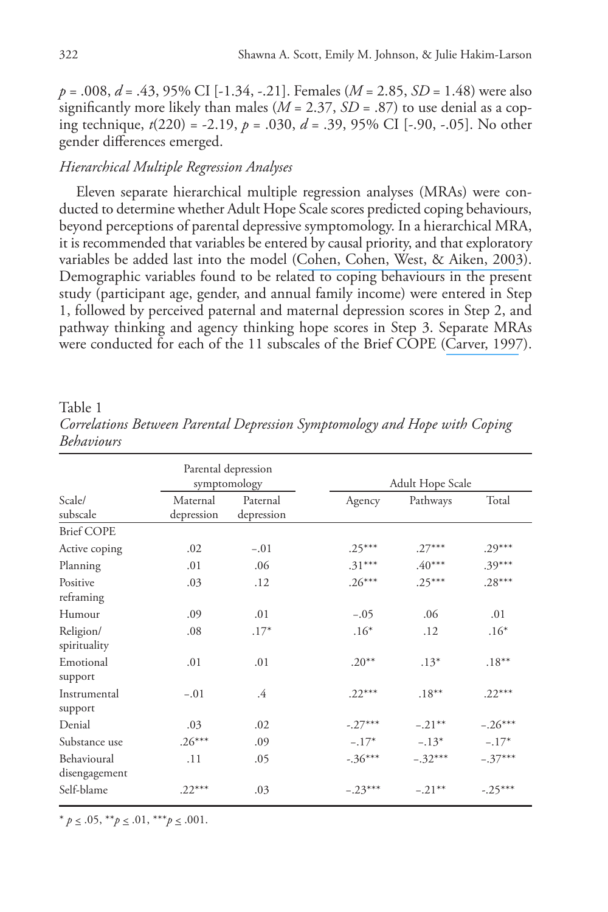*p* = .008, *d* = .43, 95% CI [-1.34, -.21]. Females (*M* = 2.85, *SD* = 1.48) were also significantly more likely than males ( $M = 2.37$ ,  $SD = .87$ ) to use denial as a coping technique, *t*(220) = -2.19, *p* = .030, *d* = .39, 95% CI [-.90, -.05]. No other gender differences emerged.

# *Hierarchical Multiple Regression Analyses*

Eleven separate hierarchical multiple regression analyses (MRAs) were conducted to determine whether Adult Hope Scale scores predicted coping behaviours, beyond perceptions of parental depressive symptomology. In a hierarchical MRA, it is recommended that variables be entered by causal priority, and that exploratory variables be added last into the model ([Cohen, Cohen, West, & Aiken, 2003](https://www.researchgate.net/publication/234021438_Applied_Multiple_RegressionCorrelation_Analysis_For_The_Behavioral_Sciences?el=1_x_8&enrichId=rgreq-f4edac8d60d27f2c2bb3bf0c64bfd7fe-XXX&enrichSource=Y292ZXJQYWdlOzI4Mzg3MzI1NDtBUzoyOTYyNTg2ODcyNTg2MjRAMTQ0NzY0NDk4MzgzMw==)). Demographic variables found to be related to coping behaviours in the present study (participant age, gender, and annual family income) were entered in Step 1, followed by perceived paternal and maternal depression scores in Step 2, and pathway thinking and agency thinking hope scores in Step 3. Separate MRAs were conducted for each of the 11 subscales of the Brief COPE ([Carver, 1997](https://www.researchgate.net/publication/7515511_You_want_to_Measure_Coping_But_Your_Protocols_Too_Long_Consider_the_Brief_COPE?el=1_x_8&enrichId=rgreq-f4edac8d60d27f2c2bb3bf0c64bfd7fe-XXX&enrichSource=Y292ZXJQYWdlOzI4Mzg3MzI1NDtBUzoyOTYyNTg2ODcyNTg2MjRAMTQ0NzY0NDk4MzgzMw==)).

Table 1

| penaviours                   |                        |                                     |           |                  |           |
|------------------------------|------------------------|-------------------------------------|-----------|------------------|-----------|
|                              |                        | Parental depression<br>symptomology |           | Adult Hope Scale |           |
| Scale/<br>subscale           | Maternal<br>depression | Paternal<br>depression              | Agency    | Pathways         | Total     |
| <b>Brief COPE</b>            |                        |                                     |           |                  |           |
| Active coping                | .02                    | $-.01$                              | $.25***$  | $.27***$         | $.29***$  |
| Planning                     | .01                    | .06                                 | $.31***$  | $.40***$         | $.39***$  |
| Positive<br>reframing        | .03                    | .12                                 | $.26***$  | $.25***$         | $.28***$  |
| Humour                       | .09                    | .01                                 | $-.05$    | .06              | .01       |
| Religion/<br>spirituality    | .08                    | $.17*$                              | $.16*$    | .12              | $.16*$    |
| Emotional<br>support         | .01                    | .01                                 | $.20**$   | $.13*$           | $.18***$  |
| Instrumental<br>support      | $-.01$                 | .4                                  | $.22***$  | $.18***$         | $.22***$  |
| Denial                       | .03                    | .02                                 | $-.27***$ | $-.21***$        | $-.26***$ |
| Substance use                | $.26***$               | .09                                 | $-.17*$   | $-.13*$          | $-.17*$   |
| Behavioural<br>disengagement | .11                    | .05                                 | $-.36***$ | $-.32***$        | $-.37***$ |
| Self-blame                   | $.22***$               | .03                                 | $-.23***$ | $-.21***$        | $-.25***$ |

*Correlations Between Parental Depression Symptomology and Hope with Coping Behaviours*

 $* p \leq .05, **p \leq .01, **p \leq .001.$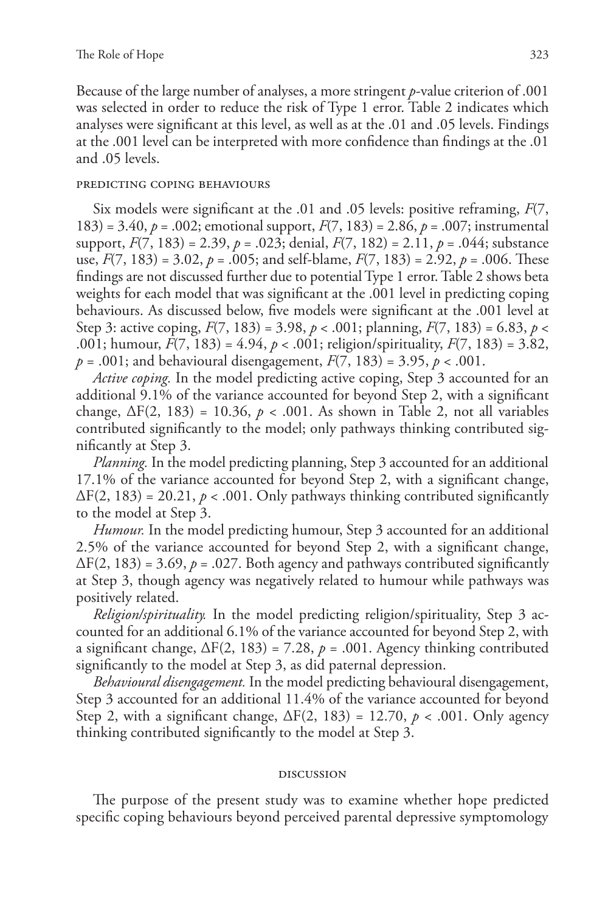Because of the large number of analyses, a more stringent *p*-value criterion of .001 was selected in order to reduce the risk of Type 1 error. Table 2 indicates which analyses were significant at this level, as well as at the .01 and .05 levels. Findings at the .001 level can be interpreted with more confidence than findings at the .01 and .05 levels.

## predicting coping behaviours

Six models were significant at the .01 and .05 levels: positive reframing, *F*(7, 183) = 3.40, *p* = .002; emotional support, *F*(7, 183) = 2.86, *p* = .007; instrumental support, *F*(7, 183) = 2.39, *p* = .023; denial, *F*(7, 182) = 2.11, *p* = .044; substance use,  $F(7, 183) = 3.02$ ,  $p = .005$ ; and self-blame,  $F(7, 183) = 2.92$ ,  $p = .006$ . These findings are not discussed further due to potential Type 1 error. Table 2 shows beta weights for each model that was significant at the .001 level in predicting coping behaviours. As discussed below, five models were significant at the .001 level at Step 3: active coping, *F*(7, 183) = 3.98, *p* < .001; planning, *F*(7, 183) = 6.83, *p* < .001; humour, *F*(7, 183) = 4.94, *p* < .001; religion/spirituality, *F*(7, 183) = 3.82, *p* = .001; and behavioural disengagement, *F*(7, 183) = 3.95, *p* < .001.

*Active coping.* In the model predicting active coping, Step 3 accounted for an additional 9.1% of the variance accounted for beyond Step 2, with a significant change,  $\Delta F(2, 183) = 10.36$ ,  $p < .001$ . As shown in Table 2, not all variables contributed significantly to the model; only pathways thinking contributed significantly at Step 3.

*Planning.* In the model predicting planning, Step 3 accounted for an additional 17.1% of the variance accounted for beyond Step 2, with a significant change,  $\Delta F(2, 183) = 20.21, p < .001$ . Only pathways thinking contributed significantly to the model at Step 3.

*Humour.* In the model predicting humour, Step 3 accounted for an additional 2.5% of the variance accounted for beyond Step 2, with a significant change,  $\Delta F(2, 183) = 3.69$ ,  $p = .027$ . Both agency and pathways contributed significantly at Step 3, though agency was negatively related to humour while pathways was positively related.

*Religion/spirituality.* In the model predicting religion/spirituality, Step 3 accounted for an additional 6.1% of the variance accounted for beyond Step 2, with a significant change,  $\Delta F(2, 183) = 7.28$ ,  $p = .001$ . Agency thinking contributed significantly to the model at Step 3, as did paternal depression.

*Behavioural disengagement.* In the model predicting behavioural disengagement, Step 3 accounted for an additional 11.4% of the variance accounted for beyond Step 2, with a significant change, ΔF(2, 183) = 12.70, *p* < .001. Only agency thinking contributed significantly to the model at Step 3.

## discussion

The purpose of the present study was to examine whether hope predicted specific coping behaviours beyond perceived parental depressive symptomology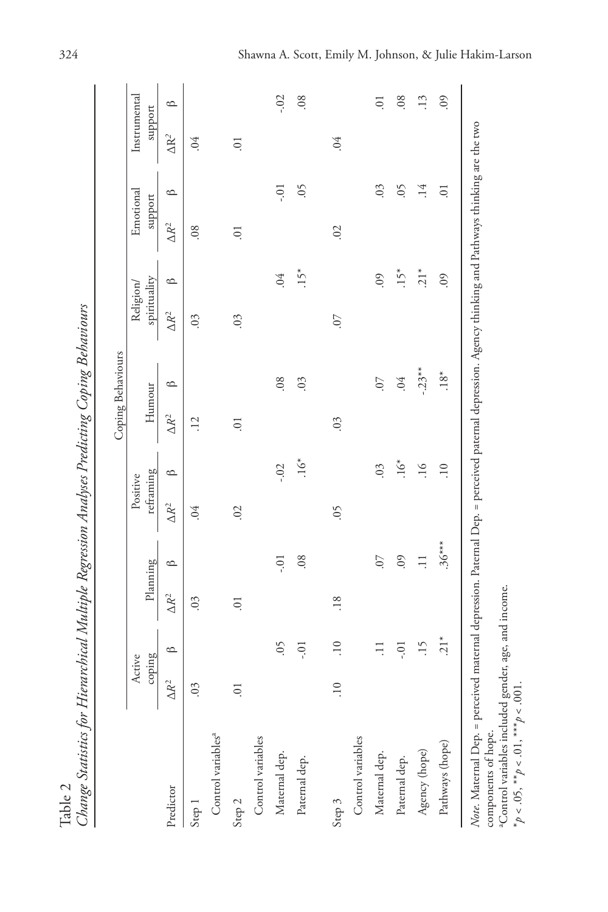|                                |                  |                 |                     |           |                       |                  |                | Coping Behaviours |                          |            |                      |                  |                         |            |
|--------------------------------|------------------|-----------------|---------------------|-----------|-----------------------|------------------|----------------|-------------------|--------------------------|------------|----------------------|------------------|-------------------------|------------|
|                                | coping<br>Active |                 |                     | Planning  | reframing<br>Positive |                  | Humour         |                   | spirituality<br>Religion |            | Emotional<br>support |                  | Instrumental<br>support |            |
| Predictor                      | $\Delta R^2$     | $\circ$         | $\Delta R^2$        | $\circ$   | $\Delta R^2$          | മ                | $\Delta R^2$   | മ                 | $\Delta R^2$             | $\circ$    | $\Delta R^2$         | $\circ$          | $\Delta R^2$            | മ          |
| Step 1                         | 0 <sup>3</sup>   |                 | $\ddot{\mathrm{0}}$ |           | 64                    |                  | $\ddot{5}$     |                   | 0 <sup>3</sup>           |            | 08                   |                  | .04                     |            |
| Control variables <sup>a</sup> |                  |                 |                     |           |                       |                  |                |                   |                          |            |                      |                  |                         |            |
| Step 2                         | $\overline{0}$   |                 | $\overline{0}$      |           | 02                    |                  | $\overline{0}$ |                   | 0 <sup>3</sup>           |            | $\overline{0}$ .     |                  | $\overline{0}$          |            |
| Control variables              |                  |                 |                     |           |                       |                  |                |                   |                          |            |                      |                  |                         |            |
| Maternal dep.                  |                  | $\zeta$         |                     | io.       |                       | $-0.02$          |                | .08               |                          | .04        |                      | $-0.1$           |                         | $-0.02$    |
| Paternal dep.                  |                  | $-0.1$          |                     | 08        |                       | $\sum_{i=1}^{k}$ |                | 0 <sup>3</sup>    |                          | $.15*$     |                      | $\dot{5}$        |                         | .08        |
| Step 3                         | $\overline{10}$  | $\overline{10}$ | .18                 |           | $\zeta$               |                  | .03            |                   | $\overline{0}$ .         |            | 02                   |                  | .04                     |            |
| Control variables              |                  |                 |                     |           |                       |                  |                |                   |                          |            |                      |                  |                         |            |
| Maternal dep.                  |                  | $\Xi$           |                     | $\sim$    |                       | 0 <sup>3</sup>   |                | $\sim$            |                          | <b>90.</b> |                      | .03              |                         | ō.         |
| Paternal dep.                  |                  | $-0.1$          |                     | <b>09</b> |                       | $.16*$           |                | .04               |                          | $.15*$     |                      | $\sim$           |                         | .08        |
| Agency (hope)                  |                  | $\overline{15}$ |                     | $\Xi$     |                       | $\frac{6}{1}$    |                | $-.23**$          |                          | $21*$      |                      | .14              |                         | $\cdot$ 13 |
| Pathways (hope)                |                  | $21*$           |                     | $.36***$  |                       | $\overline{10}$  |                | $18*$             |                          | $\odot$    |                      | $\overline{0}$ . |                         | <b>90.</b> |

Change Statistics for Hierarchical Multiple Regression Analyses Predicting Coping Behaviours Table 2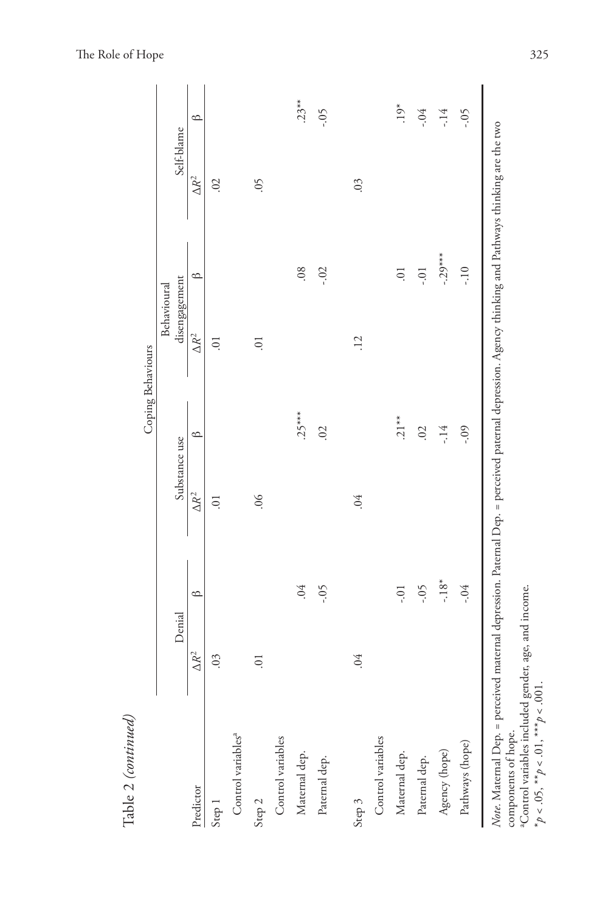|                                |                |         |                | Coping Behaviours | Behavioural     |                  |                |         |
|--------------------------------|----------------|---------|----------------|-------------------|-----------------|------------------|----------------|---------|
|                                | Denial         |         | Substance use  |                   | disengagement   |                  | Self-blame     |         |
| Predictor                      | $\Delta R^2$   | $\circ$ | $\Delta R^2$   | $\circ$           | $\Delta R^2$    | $\circ$          | $\Delta R^2$   | $\circ$ |
| Step 1                         | .03            |         | $\overline{0}$ |                   | Ξ.              |                  | 02             |         |
| Control variables <sup>a</sup> |                |         |                |                   |                 |                  |                |         |
| Step 2                         | $\overline{0}$ |         | 0 <sup>o</sup> |                   | $\Xi$           |                  | $\zeta$        |         |
| Control variables              |                |         |                |                   |                 |                  |                |         |
| Maternal dep.                  |                | .04     |                | $.25***$          |                 | .08              |                | $.23**$ |
| Paternal dep.                  |                | $-0.5$  |                | 02                |                 | $-0.2$           |                | $-0.5$  |
| Step 3                         | .04            |         | .04            |                   | $\overline{12}$ |                  | 0 <sup>3</sup> |         |
| Control variables              |                |         |                |                   |                 |                  |                |         |
| Maternal dep.                  |                | $-0.1$  |                | $.21**$           |                 | $\overline{0}$ . |                | $.19*$  |
| Paternal dep.                  |                | $-0.5$  |                | 02                |                 | $-0.0$           |                | $-0.4$  |
| Agency (hope)                  |                | $-18*$  |                | -.14              |                 | $-.29***$        |                | -.14    |
| Pathways (hope)                |                | $-0.4$  |                | $-0.09$           |                 | $-10$            |                | -.05    |

The Role of Hope 325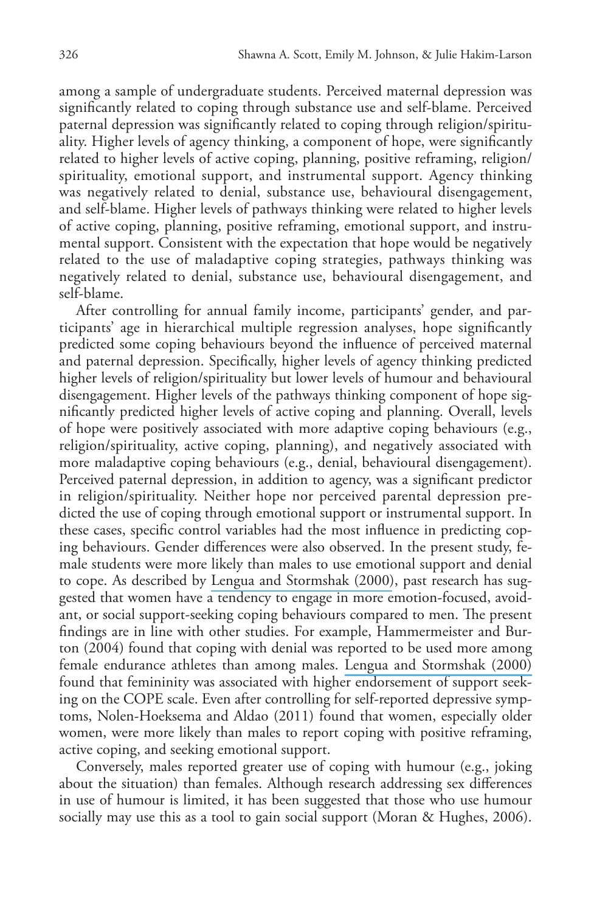among a sample of undergraduate students. Perceived maternal depression was significantly related to coping through substance use and self-blame. Perceived paternal depression was significantly related to coping through religion/spirituality. Higher levels of agency thinking, a component of hope, were significantly related to higher levels of active coping, planning, positive reframing, religion/ spirituality, emotional support, and instrumental support. Agency thinking was negatively related to denial, substance use, behavioural disengagement, and self-blame. Higher levels of pathways thinking were related to higher levels of active coping, planning, positive reframing, emotional support, and instrumental support. Consistent with the expectation that hope would be negatively related to the use of maladaptive coping strategies, pathways thinking was negatively related to denial, substance use, behavioural disengagement, and self-blame.

After controlling for annual family income, participants' gender, and participants' age in hierarchical multiple regression analyses, hope significantly predicted some coping behaviours beyond the influence of perceived maternal and paternal depression. Specifically, higher levels of agency thinking predicted higher levels of religion/spirituality but lower levels of humour and behavioural disengagement. Higher levels of the pathways thinking component of hope significantly predicted higher levels of active coping and planning. Overall, levels of hope were positively associated with more adaptive coping behaviours (e.g., religion/spirituality, active coping, planning), and negatively associated with more maladaptive coping behaviours (e.g., denial, behavioural disengagement). Perceived paternal depression, in addition to agency, was a significant predictor in religion/spirituality. Neither hope nor perceived parental depression predicted the use of coping through emotional support or instrumental support. In these cases, specific control variables had the most influence in predicting coping behaviours. Gender differences were also observed. In the present study, female students were more likely than males to use emotional support and denial to cope. As described by [Lengua and Stormshak \(2000\)](https://www.researchgate.net/publication/263256125_Gender_Gender_Roles_and_Personality_Gender_Differences_in_the_Prediction_of_Coping_and_Psychological_Symptoms?el=1_x_8&enrichId=rgreq-f4edac8d60d27f2c2bb3bf0c64bfd7fe-XXX&enrichSource=Y292ZXJQYWdlOzI4Mzg3MzI1NDtBUzoyOTYyNTg2ODcyNTg2MjRAMTQ0NzY0NDk4MzgzMw==), past research has suggested that women have a tendency to engage in more emotion-focused, avoidant, or social support-seeking coping behaviours compared to men. The present findings are in line with other studies. For example, Hammermeister and Burton (2004) found that coping with denial was reported to be used more among female endurance athletes than among males. [Lengua and Stormshak \(2000\)](https://www.researchgate.net/publication/263256125_Gender_Gender_Roles_and_Personality_Gender_Differences_in_the_Prediction_of_Coping_and_Psychological_Symptoms?el=1_x_8&enrichId=rgreq-f4edac8d60d27f2c2bb3bf0c64bfd7fe-XXX&enrichSource=Y292ZXJQYWdlOzI4Mzg3MzI1NDtBUzoyOTYyNTg2ODcyNTg2MjRAMTQ0NzY0NDk4MzgzMw==)  found that femininity was associated with higher endorsement of support seeking on the COPE scale. Even after controlling for self-reported depressive symptoms, Nolen-Hoeksema and Aldao (2011) found that women, especially older women, were more likely than males to report coping with positive reframing, active coping, and seeking emotional support.

Conversely, males reported greater use of coping with humour (e.g., joking about the situation) than females. Although research addressing sex differences in use of humour is limited, it has been suggested that those who use humour socially may use this as a tool to gain social support (Moran & Hughes, 2006).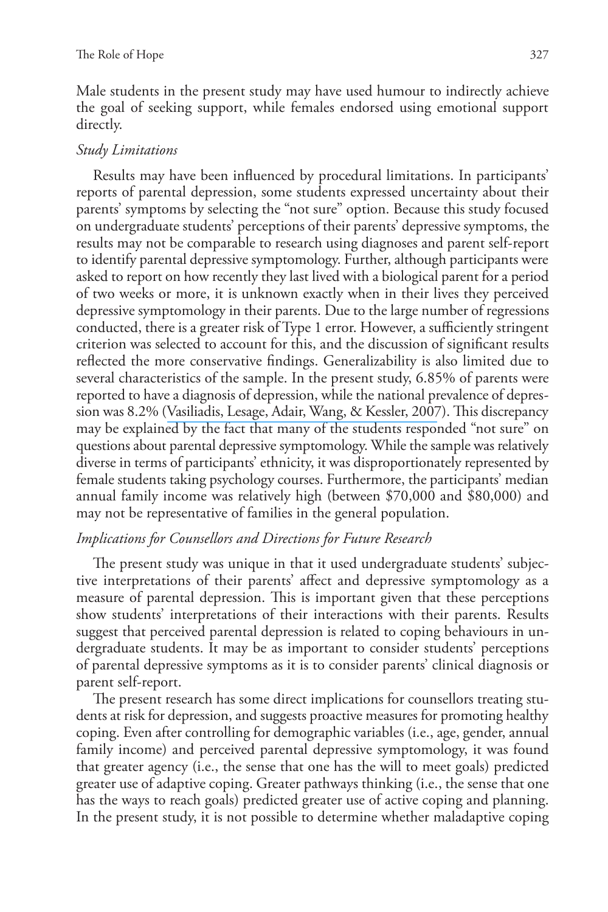Male students in the present study may have used humour to indirectly achieve the goal of seeking support, while females endorsed using emotional support directly.

# *Study Limitations*

Results may have been influenced by procedural limitations. In participants' reports of parental depression, some students expressed uncertainty about their parents' symptoms by selecting the "not sure" option. Because this study focused on undergraduate students' perceptions of their parents' depressive symptoms, the results may not be comparable to research using diagnoses and parent self-report to identify parental depressive symptomology. Further, although participants were asked to report on how recently they last lived with a biological parent for a period of two weeks or more, it is unknown exactly when in their lives they perceived depressive symptomology in their parents. Due to the large number of regressions conducted, there is a greater risk of Type 1 error. However, a sufficiently stringent criterion was selected to account for this, and the discussion of significant results reflected the more conservative findings. Generalizability is also limited due to several characteristics of the sample. In the present study, 6.85% of parents were reported to have a diagnosis of depression, while the national prevalence of depression was 8.2% ([Vasiliadis, Lesage, Adair, Wang, & Kessler, 2007](https://www.researchgate.net/publication/6586894_Do_Canada_and_the_United_States_Differ_in_Prevalence_of_Depression_and_Utilization_of_Services?el=1_x_8&enrichId=rgreq-f4edac8d60d27f2c2bb3bf0c64bfd7fe-XXX&enrichSource=Y292ZXJQYWdlOzI4Mzg3MzI1NDtBUzoyOTYyNTg2ODcyNTg2MjRAMTQ0NzY0NDk4MzgzMw==)). This discrepancy may be explained by the fact that many of the students responded "not sure" on questions about parental depressive symptomology. While the sample was relatively diverse in terms of participants' ethnicity, it was disproportionately represented by female students taking psychology courses. Furthermore, the participants' median annual family income was relatively high (between \$70,000 and \$80,000) and may not be representative of families in the general population.

# *Implications for Counsellors and Directions for Future Research*

The present study was unique in that it used undergraduate students' subjective interpretations of their parents' affect and depressive symptomology as a measure of parental depression. This is important given that these perceptions show students' interpretations of their interactions with their parents. Results suggest that perceived parental depression is related to coping behaviours in undergraduate students. It may be as important to consider students' perceptions of parental depressive symptoms as it is to consider parents' clinical diagnosis or parent self-report.

The present research has some direct implications for counsellors treating students at risk for depression, and suggests proactive measures for promoting healthy coping. Even after controlling for demographic variables (i.e., age, gender, annual family income) and perceived parental depressive symptomology, it was found that greater agency (i.e., the sense that one has the will to meet goals) predicted greater use of adaptive coping. Greater pathways thinking (i.e., the sense that one has the ways to reach goals) predicted greater use of active coping and planning. In the present study, it is not possible to determine whether maladaptive coping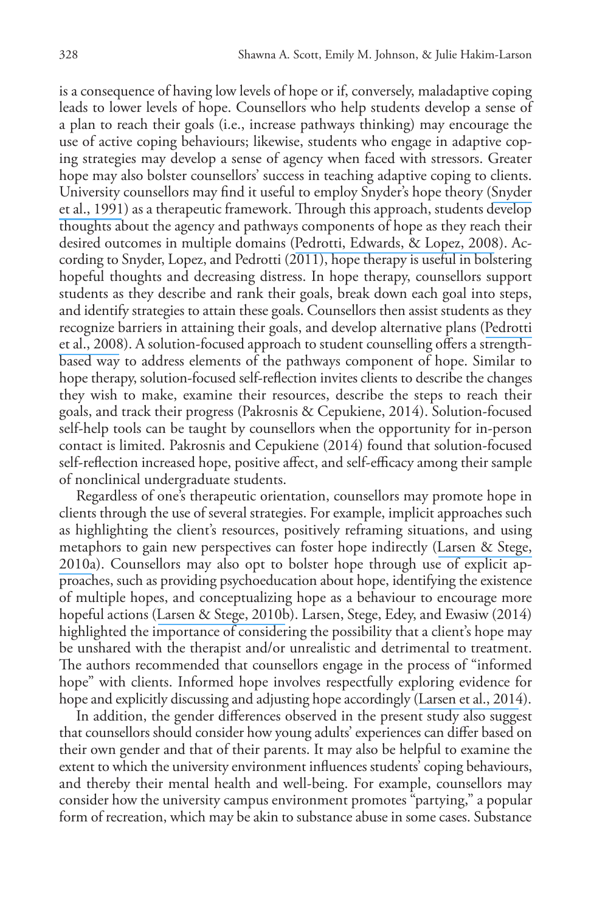is a consequence of having low levels of hope or if, conversely, maladaptive coping leads to lower levels of hope. Counsellors who help students develop a sense of a plan to reach their goals (i.e., increase pathways thinking) may encourage the use of active coping behaviours; likewise, students who engage in adaptive coping strategies may develop a sense of agency when faced with stressors. Greater hope may also bolster counsellors' success in teaching adaptive coping to clients. University counsellors may find it useful to employ Snyder's hope theory ([Snyder](https://www.researchgate.net/publication/283375700_The_will_and_the_ways_Development_and_validation_of_an_individual-differences_measure_of_hope?el=1_x_8&enrichId=rgreq-f4edac8d60d27f2c2bb3bf0c64bfd7fe-XXX&enrichSource=Y292ZXJQYWdlOzI4Mzg3MzI1NDtBUzoyOTYyNTg2ODcyNTg2MjRAMTQ0NzY0NDk4MzgzMw==) [et al., 1991](https://www.researchgate.net/publication/283375700_The_will_and_the_ways_Development_and_validation_of_an_individual-differences_measure_of_hope?el=1_x_8&enrichId=rgreq-f4edac8d60d27f2c2bb3bf0c64bfd7fe-XXX&enrichSource=Y292ZXJQYWdlOzI4Mzg3MzI1NDtBUzoyOTYyNTg2ODcyNTg2MjRAMTQ0NzY0NDk4MzgzMw==)) as a therapeutic framework. Through this approach, students develop thoughts about the agency and pathways components of hope as they reach their desired outcomes in multiple domains ([Pedrotti, Edwards, & Lopez, 2008](https://www.researchgate.net/publication/43095225_Promoting_Hope_Suggestions_for_School_Counselors?el=1_x_8&enrichId=rgreq-f4edac8d60d27f2c2bb3bf0c64bfd7fe-XXX&enrichSource=Y292ZXJQYWdlOzI4Mzg3MzI1NDtBUzoyOTYyNTg2ODcyNTg2MjRAMTQ0NzY0NDk4MzgzMw==)). According to Snyder, Lopez, and Pedrotti (2011), hope therapy is useful in bolstering hopeful thoughts and decreasing distress. In hope therapy, counsellors support students as they describe and rank their goals, break down each goal into steps, and identify strategies to attain these goals. Counsellors then assist students as they recognize barriers in attaining their goals, and develop alternative plans ([Pedrotti](https://www.researchgate.net/publication/43095225_Promoting_Hope_Suggestions_for_School_Counselors?el=1_x_8&enrichId=rgreq-f4edac8d60d27f2c2bb3bf0c64bfd7fe-XXX&enrichSource=Y292ZXJQYWdlOzI4Mzg3MzI1NDtBUzoyOTYyNTg2ODcyNTg2MjRAMTQ0NzY0NDk4MzgzMw==) [et al., 2008](https://www.researchgate.net/publication/43095225_Promoting_Hope_Suggestions_for_School_Counselors?el=1_x_8&enrichId=rgreq-f4edac8d60d27f2c2bb3bf0c64bfd7fe-XXX&enrichSource=Y292ZXJQYWdlOzI4Mzg3MzI1NDtBUzoyOTYyNTg2ODcyNTg2MjRAMTQ0NzY0NDk4MzgzMw==)). A solution-focused approach to student counselling offers a strengthbased way to address elements of the pathways component of hope. Similar to hope therapy, solution-focused self-reflection invites clients to describe the changes they wish to make, examine their resources, describe the steps to reach their goals, and track their progress (Pakrosnis & Cepukiene, 2014). Solution-focused self-help tools can be taught by counsellors when the opportunity for in-person contact is limited. Pakrosnis and Cepukiene (2014) found that solution-focused self-reflection increased hope, positive affect, and self-efficacy among their sample of nonclinical undergraduate students.

Regardless of one's therapeutic orientation, counsellors may promote hope in clients through the use of several strategies. For example, implicit approaches such as highlighting the client's resources, positively reframing situations, and using metaphors to gain new perspectives can foster hope indirectly ([Larsen & Stege,](https://www.researchgate.net/publication/232539343_Hope-Focused_Practices_During_Early_Psychotherapy_Sessions_Part_I_Implicit_Approaches?el=1_x_8&enrichId=rgreq-f4edac8d60d27f2c2bb3bf0c64bfd7fe-XXX&enrichSource=Y292ZXJQYWdlOzI4Mzg3MzI1NDtBUzoyOTYyNTg2ODcyNTg2MjRAMTQ0NzY0NDk4MzgzMw==) [2010a](https://www.researchgate.net/publication/232539343_Hope-Focused_Practices_During_Early_Psychotherapy_Sessions_Part_I_Implicit_Approaches?el=1_x_8&enrichId=rgreq-f4edac8d60d27f2c2bb3bf0c64bfd7fe-XXX&enrichSource=Y292ZXJQYWdlOzI4Mzg3MzI1NDtBUzoyOTYyNTg2ODcyNTg2MjRAMTQ0NzY0NDk4MzgzMw==)). Counsellors may also opt to bolster hope through use of explicit approaches, such as providing psychoeducation about hope, identifying the existence of multiple hopes, and conceptualizing hope as a behaviour to encourage more hopeful actions ([Larsen & Stege, 2010b](https://www.researchgate.net/publication/232444387_Hope-focused_practices_during_early_psychotherapy_sessions_Part_II_Explicit_approaches?el=1_x_8&enrichId=rgreq-f4edac8d60d27f2c2bb3bf0c64bfd7fe-XXX&enrichSource=Y292ZXJQYWdlOzI4Mzg3MzI1NDtBUzoyOTYyNTg2ODcyNTg2MjRAMTQ0NzY0NDk4MzgzMw==)). Larsen, Stege, Edey, and Ewasiw (2014) highlighted the importance of considering the possibility that a client's hope may be unshared with the therapist and/or unrealistic and detrimental to treatment. The authors recommended that counsellors engage in the process of "informed hope" with clients. Informed hope involves respectfully exploring evidence for hope and explicitly discussing and adjusting hope accordingly ([Larsen et al., 2014](https://www.researchgate.net/publication/262578372_Working_with_unrealistic_or_unshared_hope_in_the_counselling_session?el=1_x_8&enrichId=rgreq-f4edac8d60d27f2c2bb3bf0c64bfd7fe-XXX&enrichSource=Y292ZXJQYWdlOzI4Mzg3MzI1NDtBUzoyOTYyNTg2ODcyNTg2MjRAMTQ0NzY0NDk4MzgzMw==)).

In addition, the gender differences observed in the present study also suggest that counsellors should consider how young adults' experiences can differ based on their own gender and that of their parents. It may also be helpful to examine the extent to which the university environment influences students' coping behaviours, and thereby their mental health and well-being. For example, counsellors may consider how the university campus environment promotes "partying," a popular form of recreation, which may be akin to substance abuse in some cases. Substance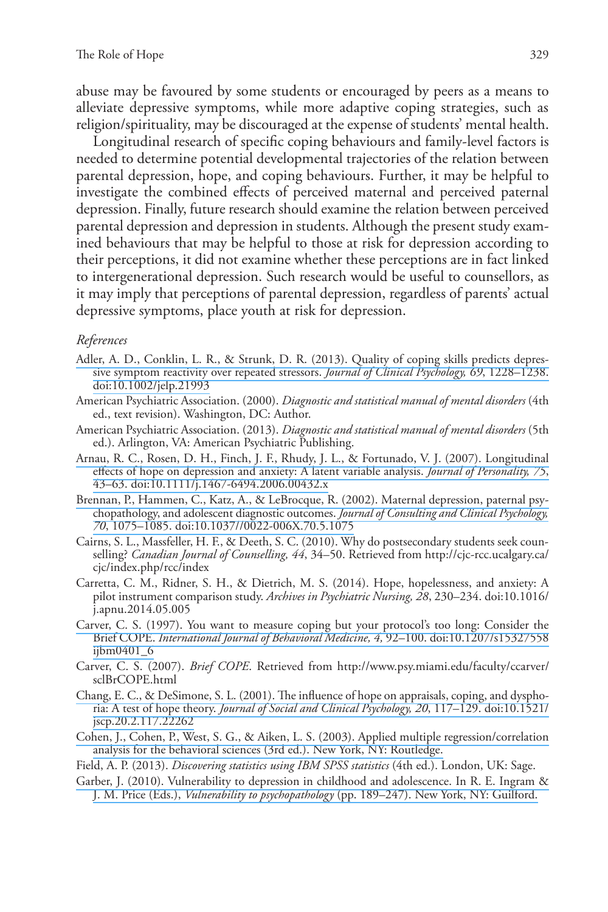abuse may be favoured by some students or encouraged by peers as a means to alleviate depressive symptoms, while more adaptive coping strategies, such as religion/spirituality, may be discouraged at the expense of students' mental health.

Longitudinal research of specific coping behaviours and family-level factors is needed to determine potential developmental trajectories of the relation between parental depression, hope, and coping behaviours. Further, it may be helpful to investigate the combined effects of perceived maternal and perceived paternal depression. Finally, future research should examine the relation between perceived parental depression and depression in students. Although the present study examined behaviours that may be helpful to those at risk for depression according to their perceptions, it did not examine whether these perceptions are in fact linked to intergenerational depression. Such research would be useful to counsellors, as it may imply that perceptions of parental depression, regardless of parents' actual depressive symptoms, place youth at risk for depression.

#### *References*

- [Adler, A. D., Conklin, L. R., & Strunk, D. R. \(2013\). Quality of coping skills predicts depres](https://www.researchgate.net/publication/242017414_Quality_of_Coping_Skills_Predicts_Depressive_Symptom_Reactivity_Over_Repeated_Stressors?el=1_x_8&enrichId=rgreq-f4edac8d60d27f2c2bb3bf0c64bfd7fe-XXX&enrichSource=Y292ZXJQYWdlOzI4Mzg3MzI1NDtBUzoyOTYyNTg2ODcyNTg2MjRAMTQ0NzY0NDk4MzgzMw==)[sive symptom reactivity over repeated stressors.](https://www.researchgate.net/publication/242017414_Quality_of_Coping_Skills_Predicts_Depressive_Symptom_Reactivity_Over_Repeated_Stressors?el=1_x_8&enrichId=rgreq-f4edac8d60d27f2c2bb3bf0c64bfd7fe-XXX&enrichSource=Y292ZXJQYWdlOzI4Mzg3MzI1NDtBUzoyOTYyNTg2ODcyNTg2MjRAMTQ0NzY0NDk4MzgzMw==) *Journal of Clinical Psychology, 69*, 1228–1238. [doi:10.1002/jelp.21993](https://www.researchgate.net/publication/242017414_Quality_of_Coping_Skills_Predicts_Depressive_Symptom_Reactivity_Over_Repeated_Stressors?el=1_x_8&enrichId=rgreq-f4edac8d60d27f2c2bb3bf0c64bfd7fe-XXX&enrichSource=Y292ZXJQYWdlOzI4Mzg3MzI1NDtBUzoyOTYyNTg2ODcyNTg2MjRAMTQ0NzY0NDk4MzgzMw==)
- American Psychiatric Association. (2000). *Diagnostic and statistical manual of mental disorders* (4th ed., text revision). Washington, DC: Author.
- American Psychiatric Association. (2013). *Diagnostic and statistical manual of mental disorders* (5th ed.). Arlington, VA: American Psychiatric Publishing.
- [Arnau, R. C., Rosen, D. H., Finch, J. F., Rhudy, J. L., & Fortunado, V. J. \(2007\). Longitudinal](https://www.researchgate.net/publication/6586082_Longitudinal_Effects_of_Hope_on_Depression_and_Anxiety_A_Latent_Variable_Analysis?el=1_x_8&enrichId=rgreq-f4edac8d60d27f2c2bb3bf0c64bfd7fe-XXX&enrichSource=Y292ZXJQYWdlOzI4Mzg3MzI1NDtBUzoyOTYyNTg2ODcyNTg2MjRAMTQ0NzY0NDk4MzgzMw==)  [effects of hope on depression and anxiety: A latent variable analysis.](https://www.researchgate.net/publication/6586082_Longitudinal_Effects_of_Hope_on_Depression_and_Anxiety_A_Latent_Variable_Analysis?el=1_x_8&enrichId=rgreq-f4edac8d60d27f2c2bb3bf0c64bfd7fe-XXX&enrichSource=Y292ZXJQYWdlOzI4Mzg3MzI1NDtBUzoyOTYyNTg2ODcyNTg2MjRAMTQ0NzY0NDk4MzgzMw==) *Journal of Personality, 75*, [43–63. doi:10.1111/j.1467-6494.2006.00432.x](https://www.researchgate.net/publication/6586082_Longitudinal_Effects_of_Hope_on_Depression_and_Anxiety_A_Latent_Variable_Analysis?el=1_x_8&enrichId=rgreq-f4edac8d60d27f2c2bb3bf0c64bfd7fe-XXX&enrichSource=Y292ZXJQYWdlOzI4Mzg3MzI1NDtBUzoyOTYyNTg2ODcyNTg2MjRAMTQ0NzY0NDk4MzgzMw==)
- [Brennan, P., Hammen, C., Katz, A., & LeBrocque, R. \(2002\). Maternal depression, paternal psy](https://www.researchgate.net/publication/11094885_Maternal_depression_paternal_psychopathology_and_adolescent_diagnostic_outcomes?el=1_x_8&enrichId=rgreq-f4edac8d60d27f2c2bb3bf0c64bfd7fe-XXX&enrichSource=Y292ZXJQYWdlOzI4Mzg3MzI1NDtBUzoyOTYyNTg2ODcyNTg2MjRAMTQ0NzY0NDk4MzgzMw==)[chopathology, and adolescent diagnostic outcomes.](https://www.researchgate.net/publication/11094885_Maternal_depression_paternal_psychopathology_and_adolescent_diagnostic_outcomes?el=1_x_8&enrichId=rgreq-f4edac8d60d27f2c2bb3bf0c64bfd7fe-XXX&enrichSource=Y292ZXJQYWdlOzI4Mzg3MzI1NDtBUzoyOTYyNTg2ODcyNTg2MjRAMTQ0NzY0NDk4MzgzMw==) *Journal of Consulting and Clinical Psychology, 70*[, 1075–1085. doi:10.1037//0022-006X.70.5.1075](https://www.researchgate.net/publication/11094885_Maternal_depression_paternal_psychopathology_and_adolescent_diagnostic_outcomes?el=1_x_8&enrichId=rgreq-f4edac8d60d27f2c2bb3bf0c64bfd7fe-XXX&enrichSource=Y292ZXJQYWdlOzI4Mzg3MzI1NDtBUzoyOTYyNTg2ODcyNTg2MjRAMTQ0NzY0NDk4MzgzMw==)
- Cairns, S. L., Massfeller, H. F., & Deeth, S. C. (2010). Why do postsecondary students seek counselling? *Canadian Journal of Counselling, 44*, 34–50. Retrieved from http://cjc-rcc.ucalgary.ca/ cjc/index.php/rcc/index
- Carretta, C. M., Ridner, S. H., & Dietrich, M. S. (2014). Hope, hopelessness, and anxiety: A pilot instrument comparison study. *Archives in Psychiatric Nursing, 28*, 230–234. doi:10.1016/ j.apnu.2014.05.005
- [Carver, C. S. \(1997\). You want to measure coping but your protocol's too long: Consider the](https://www.researchgate.net/publication/7515511_You_want_to_Measure_Coping_But_Your_Protocols_Too_Long_Consider_the_Brief_COPE?el=1_x_8&enrichId=rgreq-f4edac8d60d27f2c2bb3bf0c64bfd7fe-XXX&enrichSource=Y292ZXJQYWdlOzI4Mzg3MzI1NDtBUzoyOTYyNTg2ODcyNTg2MjRAMTQ0NzY0NDk4MzgzMw==)  Brief COPE. *[International Journal of Behavioral Medicine, 4,](https://www.researchgate.net/publication/7515511_You_want_to_Measure_Coping_But_Your_Protocols_Too_Long_Consider_the_Brief_COPE?el=1_x_8&enrichId=rgreq-f4edac8d60d27f2c2bb3bf0c64bfd7fe-XXX&enrichSource=Y292ZXJQYWdlOzI4Mzg3MzI1NDtBUzoyOTYyNTg2ODcyNTg2MjRAMTQ0NzY0NDk4MzgzMw==)* 92–100. doi:10.1207/s15327558 [ijbm0401\\_6](https://www.researchgate.net/publication/7515511_You_want_to_Measure_Coping_But_Your_Protocols_Too_Long_Consider_the_Brief_COPE?el=1_x_8&enrichId=rgreq-f4edac8d60d27f2c2bb3bf0c64bfd7fe-XXX&enrichSource=Y292ZXJQYWdlOzI4Mzg3MzI1NDtBUzoyOTYyNTg2ODcyNTg2MjRAMTQ0NzY0NDk4MzgzMw==)
- Carver, C. S. (2007). *Brief COPE*. Retrieved from http://www.psy.miami.edu/faculty/ccarver/ sclBrCOPE.html
- [Chang, E. C., & DeSimone, S. L. \(2001\). The influence of hope on appraisals, coping, and dyspho](https://www.researchgate.net/publication/247839496_The_Influence_of_Hope_on_Appraisals_Coping_and_Dysphoria_A_Test_of_Hope_Theory?el=1_x_8&enrichId=rgreq-f4edac8d60d27f2c2bb3bf0c64bfd7fe-XXX&enrichSource=Y292ZXJQYWdlOzI4Mzg3MzI1NDtBUzoyOTYyNTg2ODcyNTg2MjRAMTQ0NzY0NDk4MzgzMw==)ria: A test of hope theory. *[Journal of Social and Clinical Psychology, 20](https://www.researchgate.net/publication/247839496_The_Influence_of_Hope_on_Appraisals_Coping_and_Dysphoria_A_Test_of_Hope_Theory?el=1_x_8&enrichId=rgreq-f4edac8d60d27f2c2bb3bf0c64bfd7fe-XXX&enrichSource=Y292ZXJQYWdlOzI4Mzg3MzI1NDtBUzoyOTYyNTg2ODcyNTg2MjRAMTQ0NzY0NDk4MzgzMw==)*, 117–129. doi:10.1521/ [jscp.20.2.117.22262](https://www.researchgate.net/publication/247839496_The_Influence_of_Hope_on_Appraisals_Coping_and_Dysphoria_A_Test_of_Hope_Theory?el=1_x_8&enrichId=rgreq-f4edac8d60d27f2c2bb3bf0c64bfd7fe-XXX&enrichSource=Y292ZXJQYWdlOzI4Mzg3MzI1NDtBUzoyOTYyNTg2ODcyNTg2MjRAMTQ0NzY0NDk4MzgzMw==)
- [Cohen, J., Cohen, P., West, S. G., & Aiken, L. S. \(2003\). Applied multiple regression/correlation](https://www.researchgate.net/publication/234021438_Applied_Multiple_RegressionCorrelation_Analysis_For_The_Behavioral_Sciences?el=1_x_8&enrichId=rgreq-f4edac8d60d27f2c2bb3bf0c64bfd7fe-XXX&enrichSource=Y292ZXJQYWdlOzI4Mzg3MzI1NDtBUzoyOTYyNTg2ODcyNTg2MjRAMTQ0NzY0NDk4MzgzMw==)  [analysis for the behavioral sciences \(3rd ed.\). New York, NY: Routledge.](https://www.researchgate.net/publication/234021438_Applied_Multiple_RegressionCorrelation_Analysis_For_The_Behavioral_Sciences?el=1_x_8&enrichId=rgreq-f4edac8d60d27f2c2bb3bf0c64bfd7fe-XXX&enrichSource=Y292ZXJQYWdlOzI4Mzg3MzI1NDtBUzoyOTYyNTg2ODcyNTg2MjRAMTQ0NzY0NDk4MzgzMw==)

Field, A. P. (2013). *Discovering statistics using IBM SPSS statistics* (4th ed.). London, UK: Sage.

[Garber, J. \(2010\). Vulnerability to depression in childhood and adolescence. In R. E. Ingram &](https://www.researchgate.net/publication/313209815_Vulnerability_to_depression_in_childhood_and_adolescence?el=1_x_8&enrichId=rgreq-f4edac8d60d27f2c2bb3bf0c64bfd7fe-XXX&enrichSource=Y292ZXJQYWdlOzI4Mzg3MzI1NDtBUzoyOTYyNTg2ODcyNTg2MjRAMTQ0NzY0NDk4MzgzMw==) J. M. Price (Eds.), *Vulnerability to psychopathology* [\(pp. 189–247\). New York, NY: Guilford.](https://www.researchgate.net/publication/313209815_Vulnerability_to_depression_in_childhood_and_adolescence?el=1_x_8&enrichId=rgreq-f4edac8d60d27f2c2bb3bf0c64bfd7fe-XXX&enrichSource=Y292ZXJQYWdlOzI4Mzg3MzI1NDtBUzoyOTYyNTg2ODcyNTg2MjRAMTQ0NzY0NDk4MzgzMw==)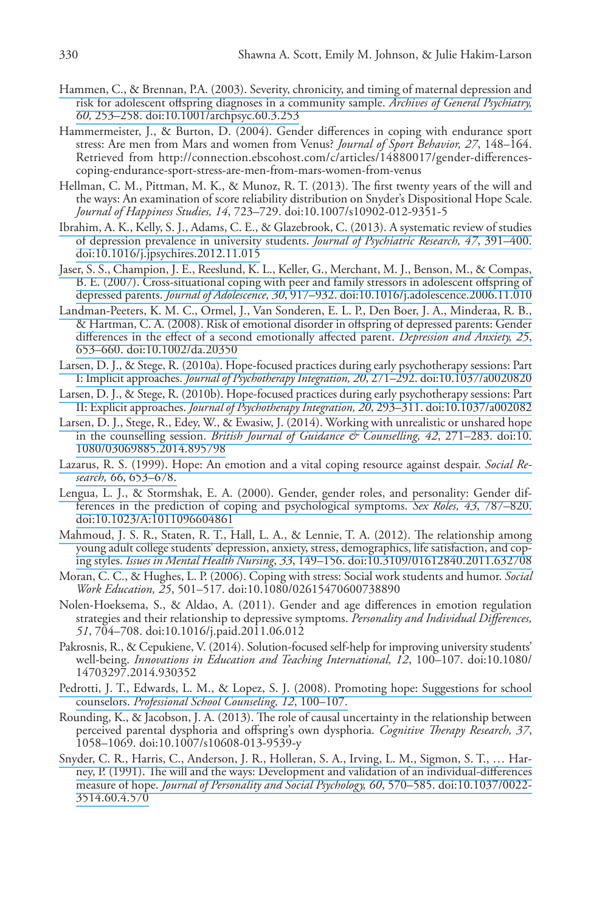- Hammen, C., & Brennan, P.A. (2003). [Severity, chronicity, and timing of maternal depression and](https://www.researchgate.net/publication/10868049_Severity_Chronicity_and_Timing_of_Maternal_Depression_and_Risk_for_Adolescent_Offspring_Diagnoses_in_a_Community_Sample?el=1_x_8&enrichId=rgreq-f4edac8d60d27f2c2bb3bf0c64bfd7fe-XXX&enrichSource=Y292ZXJQYWdlOzI4Mzg3MzI1NDtBUzoyOTYyNTg2ODcyNTg2MjRAMTQ0NzY0NDk4MzgzMw==)  [risk for adolescent offspring diagnoses in a community sample.](https://www.researchgate.net/publication/10868049_Severity_Chronicity_and_Timing_of_Maternal_Depression_and_Risk_for_Adolescent_Offspring_Diagnoses_in_a_Community_Sample?el=1_x_8&enrichId=rgreq-f4edac8d60d27f2c2bb3bf0c64bfd7fe-XXX&enrichSource=Y292ZXJQYWdlOzI4Mzg3MzI1NDtBUzoyOTYyNTg2ODcyNTg2MjRAMTQ0NzY0NDk4MzgzMw==) *Archives of General Psychiatry, 60,* [253–258. doi:10.1001/archpsyc.60.3.253](https://www.researchgate.net/publication/10868049_Severity_Chronicity_and_Timing_of_Maternal_Depression_and_Risk_for_Adolescent_Offspring_Diagnoses_in_a_Community_Sample?el=1_x_8&enrichId=rgreq-f4edac8d60d27f2c2bb3bf0c64bfd7fe-XXX&enrichSource=Y292ZXJQYWdlOzI4Mzg3MzI1NDtBUzoyOTYyNTg2ODcyNTg2MjRAMTQ0NzY0NDk4MzgzMw==)
- Hammermeister, J., & Burton, D. (2004). Gender differences in coping with endurance sport stress: Are men from Mars and women from Venus? *Journal of Sport Behavior, 27*, 148–164. Retrieved from http://connection.ebscohost.com/c/articles/14880017/gender-differencescoping-endurance-sport-stress-are-men-from-mars-women-from-venus
- Hellman, C. M., Pittman, M. K., & Munoz, R. T. (2013). The first twenty years of the will and the ways: An examination of score reliability distribution on Snyder's Dispositional Hope Scale. *Journal of Happiness Studies, 14*, 723–729. doi:10.1007/s10902-012-9351-5
- [Ibrahim, A. K., Kelly, S. J., Adams, C. E., & Glazebrook, C. \(2013\). A systematic review of studies](https://www.researchgate.net/publication/233973468_A_Systematic_review_of_studies_of_depression_prevalence_in_university_students?el=1_x_8&enrichId=rgreq-f4edac8d60d27f2c2bb3bf0c64bfd7fe-XXX&enrichSource=Y292ZXJQYWdlOzI4Mzg3MzI1NDtBUzoyOTYyNTg2ODcyNTg2MjRAMTQ0NzY0NDk4MzgzMw==)  [of depression prevalence in university students.](https://www.researchgate.net/publication/233973468_A_Systematic_review_of_studies_of_depression_prevalence_in_university_students?el=1_x_8&enrichId=rgreq-f4edac8d60d27f2c2bb3bf0c64bfd7fe-XXX&enrichSource=Y292ZXJQYWdlOzI4Mzg3MzI1NDtBUzoyOTYyNTg2ODcyNTg2MjRAMTQ0NzY0NDk4MzgzMw==) *Journal of Psychiatric Research, 47*, 391–400. [doi:10.1016/j.jpsychires.2012.11.015](https://www.researchgate.net/publication/233973468_A_Systematic_review_of_studies_of_depression_prevalence_in_university_students?el=1_x_8&enrichId=rgreq-f4edac8d60d27f2c2bb3bf0c64bfd7fe-XXX&enrichSource=Y292ZXJQYWdlOzI4Mzg3MzI1NDtBUzoyOTYyNTg2ODcyNTg2MjRAMTQ0NzY0NDk4MzgzMw==)
- [Jaser, S. S., Champion, J. E., Reeslund, K. L., Keller, G., Merchant, M. J., Benson, M., & Compas,](https://www.researchgate.net/publication/6560763_Cross-situational_coping_with_peer_and_family_stressors_in_adolescent_offspring_of_depressed_parents?el=1_x_8&enrichId=rgreq-f4edac8d60d27f2c2bb3bf0c64bfd7fe-XXX&enrichSource=Y292ZXJQYWdlOzI4Mzg3MzI1NDtBUzoyOTYyNTg2ODcyNTg2MjRAMTQ0NzY0NDk4MzgzMw==)  [B. E. \(2007\). Cross-situational coping with peer and family stressors in adolescent offspring of](https://www.researchgate.net/publication/6560763_Cross-situational_coping_with_peer_and_family_stressors_in_adolescent_offspring_of_depressed_parents?el=1_x_8&enrichId=rgreq-f4edac8d60d27f2c2bb3bf0c64bfd7fe-XXX&enrichSource=Y292ZXJQYWdlOzI4Mzg3MzI1NDtBUzoyOTYyNTg2ODcyNTg2MjRAMTQ0NzY0NDk4MzgzMw==)  depressed parents. *Journal of Adolescence, 30*[, 917–932. doi:10.1016/j.adolescence.2006.11.010](https://www.researchgate.net/publication/6560763_Cross-situational_coping_with_peer_and_family_stressors_in_adolescent_offspring_of_depressed_parents?el=1_x_8&enrichId=rgreq-f4edac8d60d27f2c2bb3bf0c64bfd7fe-XXX&enrichSource=Y292ZXJQYWdlOzI4Mzg3MzI1NDtBUzoyOTYyNTg2ODcyNTg2MjRAMTQ0NzY0NDk4MzgzMw==)
- [Landman-Peeters, K. M. C., Ormel, J., Van Sonderen, E. L. P., Den Boer, J. A., Minderaa, R. B.,](https://www.researchgate.net/publication/227786284_Risk_of_emotional_disorder_in_offspring_of_depressed_parents_Gender_differences_in_the_effect_of_a_second_emotionally_affected_parent?el=1_x_8&enrichId=rgreq-f4edac8d60d27f2c2bb3bf0c64bfd7fe-XXX&enrichSource=Y292ZXJQYWdlOzI4Mzg3MzI1NDtBUzoyOTYyNTg2ODcyNTg2MjRAMTQ0NzY0NDk4MzgzMw==)  [& Hartman, C. A. \(2008\). Risk of emotional disorder in offspring of depressed parents: Gender](https://www.researchgate.net/publication/227786284_Risk_of_emotional_disorder_in_offspring_of_depressed_parents_Gender_differences_in_the_effect_of_a_second_emotionally_affected_parent?el=1_x_8&enrichId=rgreq-f4edac8d60d27f2c2bb3bf0c64bfd7fe-XXX&enrichSource=Y292ZXJQYWdlOzI4Mzg3MzI1NDtBUzoyOTYyNTg2ODcyNTg2MjRAMTQ0NzY0NDk4MzgzMw==)  [differences in the effect of a second emotionally affected parent.](https://www.researchgate.net/publication/227786284_Risk_of_emotional_disorder_in_offspring_of_depressed_parents_Gender_differences_in_the_effect_of_a_second_emotionally_affected_parent?el=1_x_8&enrichId=rgreq-f4edac8d60d27f2c2bb3bf0c64bfd7fe-XXX&enrichSource=Y292ZXJQYWdlOzI4Mzg3MzI1NDtBUzoyOTYyNTg2ODcyNTg2MjRAMTQ0NzY0NDk4MzgzMw==) *Depression and Anxiety, 25*, [653–660. doi:10.1002/da.20350](https://www.researchgate.net/publication/227786284_Risk_of_emotional_disorder_in_offspring_of_depressed_parents_Gender_differences_in_the_effect_of_a_second_emotionally_affected_parent?el=1_x_8&enrichId=rgreq-f4edac8d60d27f2c2bb3bf0c64bfd7fe-XXX&enrichSource=Y292ZXJQYWdlOzI4Mzg3MzI1NDtBUzoyOTYyNTg2ODcyNTg2MjRAMTQ0NzY0NDk4MzgzMw==)
- [Larsen, D. J., & Stege, R. \(2010a\). Hope-focused practices during early psychotherapy sessions: Part](https://www.researchgate.net/publication/232539343_Hope-Focused_Practices_During_Early_Psychotherapy_Sessions_Part_I_Implicit_Approaches?el=1_x_8&enrichId=rgreq-f4edac8d60d27f2c2bb3bf0c64bfd7fe-XXX&enrichSource=Y292ZXJQYWdlOzI4Mzg3MzI1NDtBUzoyOTYyNTg2ODcyNTg2MjRAMTQ0NzY0NDk4MzgzMw==) I: Implicit approaches. *[Journal of Psychotherapy Integration, 20](https://www.researchgate.net/publication/232539343_Hope-Focused_Practices_During_Early_Psychotherapy_Sessions_Part_I_Implicit_Approaches?el=1_x_8&enrichId=rgreq-f4edac8d60d27f2c2bb3bf0c64bfd7fe-XXX&enrichSource=Y292ZXJQYWdlOzI4Mzg3MzI1NDtBUzoyOTYyNTg2ODcyNTg2MjRAMTQ0NzY0NDk4MzgzMw==)*, 271–292. doi:10.1037/a0020820
- [Larsen, D. J., & Stege, R. \(2010b\). Hope-focused practices during early psychotherapy sessions: Part](https://www.researchgate.net/publication/232444387_Hope-focused_practices_during_early_psychotherapy_sessions_Part_II_Explicit_approaches?el=1_x_8&enrichId=rgreq-f4edac8d60d27f2c2bb3bf0c64bfd7fe-XXX&enrichSource=Y292ZXJQYWdlOzI4Mzg3MzI1NDtBUzoyOTYyNTg2ODcyNTg2MjRAMTQ0NzY0NDk4MzgzMw==) II: Explicit approaches. *[Journal of Psychotherapy Integration, 20](https://www.researchgate.net/publication/232444387_Hope-focused_practices_during_early_psychotherapy_sessions_Part_II_Explicit_approaches?el=1_x_8&enrichId=rgreq-f4edac8d60d27f2c2bb3bf0c64bfd7fe-XXX&enrichSource=Y292ZXJQYWdlOzI4Mzg3MzI1NDtBUzoyOTYyNTg2ODcyNTg2MjRAMTQ0NzY0NDk4MzgzMw==)*, 293–311. doi:10.1037/a002082
- [Larsen, D. J., Stege, R., Edey, W., & Ewasiw, J. \(2014\). Working with unrealistic or unshared hope](https://www.researchgate.net/publication/262578372_Working_with_unrealistic_or_unshared_hope_in_the_counselling_session?el=1_x_8&enrichId=rgreq-f4edac8d60d27f2c2bb3bf0c64bfd7fe-XXX&enrichSource=Y292ZXJQYWdlOzI4Mzg3MzI1NDtBUzoyOTYyNTg2ODcyNTg2MjRAMTQ0NzY0NDk4MzgzMw==)  in the counselling session. *[British Journal of Guidance & Counselling, 42](https://www.researchgate.net/publication/262578372_Working_with_unrealistic_or_unshared_hope_in_the_counselling_session?el=1_x_8&enrichId=rgreq-f4edac8d60d27f2c2bb3bf0c64bfd7fe-XXX&enrichSource=Y292ZXJQYWdlOzI4Mzg3MzI1NDtBUzoyOTYyNTg2ODcyNTg2MjRAMTQ0NzY0NDk4MzgzMw==)*, 271–283. doi:10. [1080/03069885.2014.895798](https://www.researchgate.net/publication/262578372_Working_with_unrealistic_or_unshared_hope_in_the_counselling_session?el=1_x_8&enrichId=rgreq-f4edac8d60d27f2c2bb3bf0c64bfd7fe-XXX&enrichSource=Y292ZXJQYWdlOzI4Mzg3MzI1NDtBUzoyOTYyNTg2ODcyNTg2MjRAMTQ0NzY0NDk4MzgzMw==)
- [Lazarus, R. S. \(1999\). Hope: An emotion and a vital coping resource against despair.](https://www.researchgate.net/publication/281181376_Hope_An_emotion_and_a_vital_coping_resource_against_despair?el=1_x_8&enrichId=rgreq-f4edac8d60d27f2c2bb3bf0c64bfd7fe-XXX&enrichSource=Y292ZXJQYWdlOzI4Mzg3MzI1NDtBUzoyOTYyNTg2ODcyNTg2MjRAMTQ0NzY0NDk4MzgzMw==) *Social Research, 66*[, 653–678.](https://www.researchgate.net/publication/281181376_Hope_An_emotion_and_a_vital_coping_resource_against_despair?el=1_x_8&enrichId=rgreq-f4edac8d60d27f2c2bb3bf0c64bfd7fe-XXX&enrichSource=Y292ZXJQYWdlOzI4Mzg3MzI1NDtBUzoyOTYyNTg2ODcyNTg2MjRAMTQ0NzY0NDk4MzgzMw==)
- [Lengua, L. J., & Stormshak, E. A. \(2000\). Gender, gender roles, and personality: Gender dif](https://www.researchgate.net/publication/263256125_Gender_Gender_Roles_and_Personality_Gender_Differences_in_the_Prediction_of_Coping_and_Psychological_Symptoms?el=1_x_8&enrichId=rgreq-f4edac8d60d27f2c2bb3bf0c64bfd7fe-XXX&enrichSource=Y292ZXJQYWdlOzI4Mzg3MzI1NDtBUzoyOTYyNTg2ODcyNTg2MjRAMTQ0NzY0NDk4MzgzMw==)[ferences in the prediction of coping and psychological symptoms.](https://www.researchgate.net/publication/263256125_Gender_Gender_Roles_and_Personality_Gender_Differences_in_the_Prediction_of_Coping_and_Psychological_Symptoms?el=1_x_8&enrichId=rgreq-f4edac8d60d27f2c2bb3bf0c64bfd7fe-XXX&enrichSource=Y292ZXJQYWdlOzI4Mzg3MzI1NDtBUzoyOTYyNTg2ODcyNTg2MjRAMTQ0NzY0NDk4MzgzMw==) *Sex Roles, 43*, 787–820. [doi:10.1023/A:1011096604861](https://www.researchgate.net/publication/263256125_Gender_Gender_Roles_and_Personality_Gender_Differences_in_the_Prediction_of_Coping_and_Psychological_Symptoms?el=1_x_8&enrichId=rgreq-f4edac8d60d27f2c2bb3bf0c64bfd7fe-XXX&enrichSource=Y292ZXJQYWdlOzI4Mzg3MzI1NDtBUzoyOTYyNTg2ODcyNTg2MjRAMTQ0NzY0NDk4MzgzMw==)
- [Mahmoud, J. S. R., Staten, R. T., Hall, L. A., & Lennie, T. A. \(2012\). The relationship among](https://www.researchgate.net/publication/221860649_The_Relationship_among_Young_Adult_College_Students)  [young adult college students' depression, anxiety, stress, demographics, life satisfaction, and cop](https://www.researchgate.net/publication/221860649_The_Relationship_among_Young_Adult_College_Students)ing styles. *Issues in Mental Health Nursing*, *33*[, 149–156. doi:10.3109/01612840.2011.632708](https://www.researchgate.net/publication/221860649_The_Relationship_among_Young_Adult_College_Students)
- Moran, C. C., & Hughes, L. P. (2006). Coping with stress: Social work students and humor. *Social Work Education, 25*, 501–517. doi:10.1080/02615470600738890
- Nolen-Hoeksema, S., & Aldao, A. (2011). Gender and age differences in emotion regulation strategies and their relationship to depressive symptoms. *Personality and Individual Differences, 51*, 704–708. doi:10.1016/j.paid.2011.06.012
- Pakrosnis, R., & Cepukiene, V. (2014). Solution-focused self-help for improving university students' well-being. *Innovations in Education and Teaching International, 12*, 100–107. doi:10.1080/ 14703297.2014.930352
- [Pedrotti, J. T., Edwards, L. M., & Lopez, S. J. \(2008\). Promoting hope: Suggestions for school](https://www.researchgate.net/publication/43095225_Promoting_Hope_Suggestions_for_School_Counselors?el=1_x_8&enrichId=rgreq-f4edac8d60d27f2c2bb3bf0c64bfd7fe-XXX&enrichSource=Y292ZXJQYWdlOzI4Mzg3MzI1NDtBUzoyOTYyNTg2ODcyNTg2MjRAMTQ0NzY0NDk4MzgzMw==)  counselors. *[Professional School Counseling, 12](https://www.researchgate.net/publication/43095225_Promoting_Hope_Suggestions_for_School_Counselors?el=1_x_8&enrichId=rgreq-f4edac8d60d27f2c2bb3bf0c64bfd7fe-XXX&enrichSource=Y292ZXJQYWdlOzI4Mzg3MzI1NDtBUzoyOTYyNTg2ODcyNTg2MjRAMTQ0NzY0NDk4MzgzMw==)*, 100–107.
- Rounding, K., & Jacobson, J. A. (2013). The role of causal uncertainty in the relationship between perceived parental dysphoria and offspring's own dysphoria. *Cognitive Therapy Research, 37*, 1058–1069. doi:10.1007/s10608-013-9539-y
- [Snyder, C. R., Harris, C., Anderson, J. R., Holleran, S. A., Irving, L. M., Sigmon, S. T., … Har](https://www.researchgate.net/publication/283375700_The_will_and_the_ways_Development_and_validation_of_an_individual-differences_measure_of_hope?el=1_x_8&enrichId=rgreq-f4edac8d60d27f2c2bb3bf0c64bfd7fe-XXX&enrichSource=Y292ZXJQYWdlOzI4Mzg3MzI1NDtBUzoyOTYyNTg2ODcyNTg2MjRAMTQ0NzY0NDk4MzgzMw==)[ney, P. \(1991\). The will and the ways: Development and validation of an individual-differences](https://www.researchgate.net/publication/283375700_The_will_and_the_ways_Development_and_validation_of_an_individual-differences_measure_of_hope?el=1_x_8&enrichId=rgreq-f4edac8d60d27f2c2bb3bf0c64bfd7fe-XXX&enrichSource=Y292ZXJQYWdlOzI4Mzg3MzI1NDtBUzoyOTYyNTg2ODcyNTg2MjRAMTQ0NzY0NDk4MzgzMw==)  measure of hope. *[Journal of Personality and Social Psychology, 60](https://www.researchgate.net/publication/283375700_The_will_and_the_ways_Development_and_validation_of_an_individual-differences_measure_of_hope?el=1_x_8&enrichId=rgreq-f4edac8d60d27f2c2bb3bf0c64bfd7fe-XXX&enrichSource=Y292ZXJQYWdlOzI4Mzg3MzI1NDtBUzoyOTYyNTg2ODcyNTg2MjRAMTQ0NzY0NDk4MzgzMw==)*, 570–585. doi:10.1037/0022- [3514.60.4.570](https://www.researchgate.net/publication/283375700_The_will_and_the_ways_Development_and_validation_of_an_individual-differences_measure_of_hope?el=1_x_8&enrichId=rgreq-f4edac8d60d27f2c2bb3bf0c64bfd7fe-XXX&enrichSource=Y292ZXJQYWdlOzI4Mzg3MzI1NDtBUzoyOTYyNTg2ODcyNTg2MjRAMTQ0NzY0NDk4MzgzMw==)